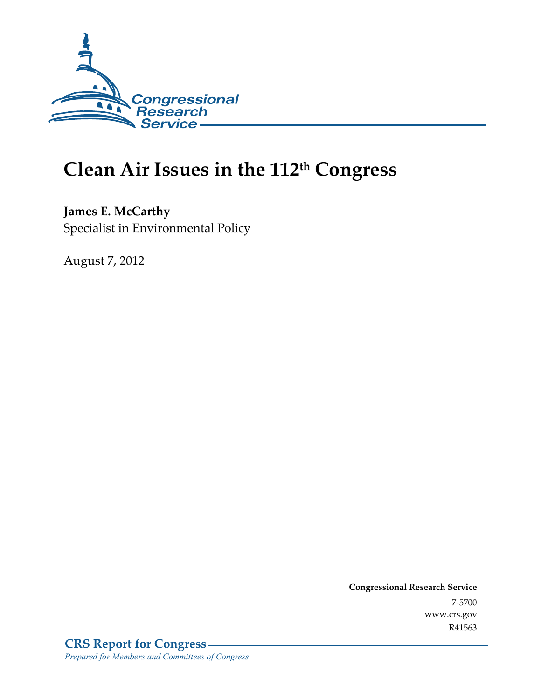

# **Clean Air Issues in the 112th Congress**

**James E. McCarthy**  Specialist in Environmental Policy

August 7, 2012

**Congressional Research Service**  7-5700 www.crs.gov R41563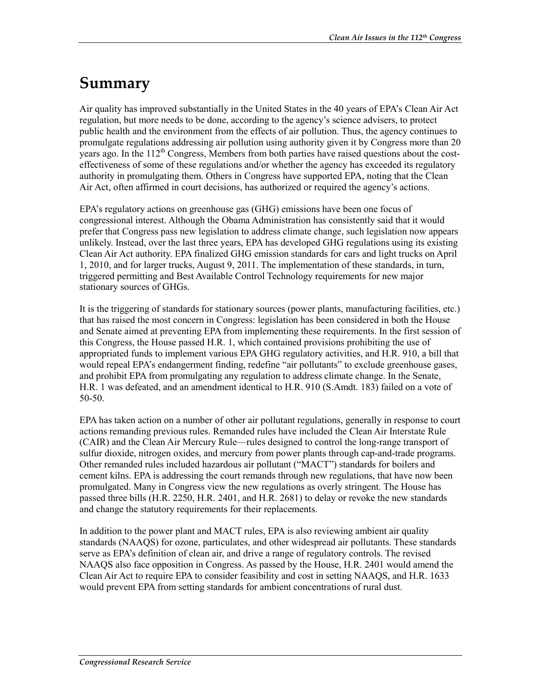## **Summary**

Air quality has improved substantially in the United States in the 40 years of EPA's Clean Air Act regulation, but more needs to be done, according to the agency's science advisers, to protect public health and the environment from the effects of air pollution. Thus, the agency continues to promulgate regulations addressing air pollution using authority given it by Congress more than 20 years ago. In the 112<sup>th</sup> Congress, Members from both parties have raised questions about the costeffectiveness of some of these regulations and/or whether the agency has exceeded its regulatory authority in promulgating them. Others in Congress have supported EPA, noting that the Clean Air Act, often affirmed in court decisions, has authorized or required the agency's actions.

EPA's regulatory actions on greenhouse gas (GHG) emissions have been one focus of congressional interest. Although the Obama Administration has consistently said that it would prefer that Congress pass new legislation to address climate change, such legislation now appears unlikely. Instead, over the last three years, EPA has developed GHG regulations using its existing Clean Air Act authority. EPA finalized GHG emission standards for cars and light trucks on April 1, 2010, and for larger trucks, August 9, 2011. The implementation of these standards, in turn, triggered permitting and Best Available Control Technology requirements for new major stationary sources of GHGs.

It is the triggering of standards for stationary sources (power plants, manufacturing facilities, etc.) that has raised the most concern in Congress: legislation has been considered in both the House and Senate aimed at preventing EPA from implementing these requirements. In the first session of this Congress, the House passed H.R. 1, which contained provisions prohibiting the use of appropriated funds to implement various EPA GHG regulatory activities, and H.R. 910, a bill that would repeal EPA's endangerment finding, redefine "air pollutants" to exclude greenhouse gases, and prohibit EPA from promulgating any regulation to address climate change. In the Senate, H.R. 1 was defeated, and an amendment identical to H.R. 910 (S.Amdt. 183) failed on a vote of 50-50.

EPA has taken action on a number of other air pollutant regulations, generally in response to court actions remanding previous rules. Remanded rules have included the Clean Air Interstate Rule (CAIR) and the Clean Air Mercury Rule—rules designed to control the long-range transport of sulfur dioxide, nitrogen oxides, and mercury from power plants through cap-and-trade programs. Other remanded rules included hazardous air pollutant ("MACT") standards for boilers and cement kilns. EPA is addressing the court remands through new regulations, that have now been promulgated. Many in Congress view the new regulations as overly stringent. The House has passed three bills (H.R. 2250, H.R. 2401, and H.R. 2681) to delay or revoke the new standards and change the statutory requirements for their replacements.

In addition to the power plant and MACT rules, EPA is also reviewing ambient air quality standards (NAAQS) for ozone, particulates, and other widespread air pollutants. These standards serve as EPA's definition of clean air, and drive a range of regulatory controls. The revised NAAQS also face opposition in Congress. As passed by the House, H.R. 2401 would amend the Clean Air Act to require EPA to consider feasibility and cost in setting NAAQS, and H.R. 1633 would prevent EPA from setting standards for ambient concentrations of rural dust.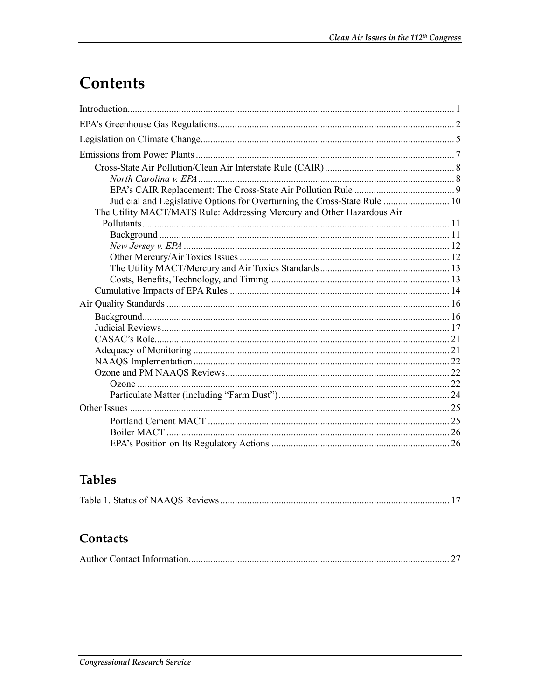## **Contents**

| Judicial and Legislative Options for Overturning the Cross-State Rule  10 |  |
|---------------------------------------------------------------------------|--|
| The Utility MACT/MATS Rule: Addressing Mercury and Other Hazardous Air    |  |
|                                                                           |  |
|                                                                           |  |
|                                                                           |  |
|                                                                           |  |
|                                                                           |  |
|                                                                           |  |
|                                                                           |  |
|                                                                           |  |
|                                                                           |  |
|                                                                           |  |
|                                                                           |  |
|                                                                           |  |
|                                                                           |  |
|                                                                           |  |
|                                                                           |  |
|                                                                           |  |
|                                                                           |  |
|                                                                           |  |
|                                                                           |  |
|                                                                           |  |

## **Tables**

|--|--|--|

### Contacts

|--|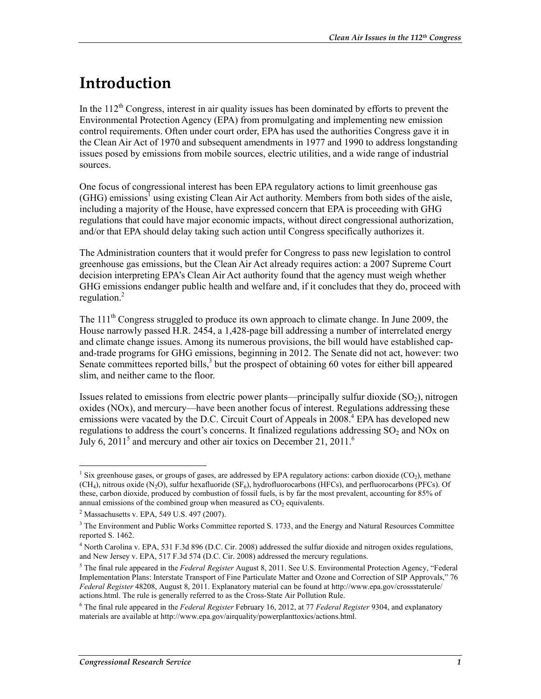## **Introduction**

In the  $112<sup>th</sup>$  Congress, interest in air quality issues has been dominated by efforts to prevent the Environmental Protection Agency (EPA) from promulgating and implementing new emission control requirements. Often under court order, EPA has used the authorities Congress gave it in the Clean Air Act of 1970 and subsequent amendments in 1977 and 1990 to address longstanding issues posed by emissions from mobile sources, electric utilities, and a wide range of industrial sources.

One focus of congressional interest has been EPA regulatory actions to limit greenhouse gas (GHG) emissions<sup>1</sup> using existing Clean Air Act authority. Members from both sides of the aisle, including a majority of the House, have expressed concern that EPA is proceeding with GHG regulations that could have major economic impacts, without direct congressional authorization, and/or that EPA should delay taking such action until Congress specifically authorizes it.

The Administration counters that it would prefer for Congress to pass new legislation to control greenhouse gas emissions, but the Clean Air Act already requires action: a 2007 Supreme Court decision interpreting EPA's Clean Air Act authority found that the agency must weigh whether GHG emissions endanger public health and welfare and, if it concludes that they do, proceed with regulation.<sup>2</sup>

The 111<sup>th</sup> Congress struggled to produce its own approach to climate change. In June 2009, the House narrowly passed H.R. 2454, a 1,428-page bill addressing a number of interrelated energy and climate change issues. Among its numerous provisions, the bill would have established capand-trade programs for GHG emissions, beginning in 2012. The Senate did not act, however: two Senate committees reported bills,<sup>3</sup> but the prospect of obtaining 60 votes for either bill appeared slim, and neither came to the floor.

Issues related to emissions from electric power plants—principally sulfur dioxide  $(SO<sub>2</sub>)$ , nitrogen oxides (NOx), and mercury—have been another focus of interest. Regulations addressing these emissions were vacated by the D.C. Circuit Court of Appeals in 2008.<sup>4</sup> EPA has developed new regulations to address the court's concerns. It finalized regulations addressing  $SO<sub>2</sub>$  and NOx on July 6, 2011<sup>5</sup> and mercury and other air toxics on December 21, 2011.<sup>6</sup>

<sup>&</sup>lt;sup>1</sup> Six greenhouse gases, or groups of gases, are addressed by EPA regulatory actions: carbon dioxide (CO<sub>2</sub>), methane  $(CH<sub>4</sub>)$ , nitrous oxide (N<sub>2</sub>O), sulfur hexafluoride (SF<sub>6</sub>), hydrofluorocarbons (HFCs), and perfluorocarbons (PFCs). Of these, carbon dioxide, produced by combustion of fossil fuels, is by far the most prevalent, accounting for 85% of annual emissions of the combined group when measured as  $CO<sub>2</sub>$  equivalents.

<sup>&</sup>lt;sup>2</sup> Massachusetts v. EPA, 549 U.S. 497 (2007).

<sup>&</sup>lt;sup>3</sup> The Environment and Public Works Committee reported S. 1733, and the Energy and Natural Resources Committee reported S. 1462.

<sup>&</sup>lt;sup>4</sup> North Carolina v. EPA, 531 F.3d 896 (D.C. Cir. 2008) addressed the sulfur dioxide and nitrogen oxides regulations, and New Jersey v. EPA, 517 F.3d 574 (D.C. Cir. 2008) addressed the mercury regulations.

<sup>5</sup> The final rule appeared in the *Federal Register* August 8, 2011. See U.S. Environmental Protection Agency, "Federal Implementation Plans: Interstate Transport of Fine Particulate Matter and Ozone and Correction of SIP Approvals," 76 *Federal Register* 48208, August 8, 2011. Explanatory material can be found at http://www.epa.gov/crossstaterule/ actions.html. The rule is generally referred to as the Cross-State Air Pollution Rule.

<sup>6</sup> The final rule appeared in the *Federal Register* February 16, 2012, at 77 *Federal Register* 9304, and explanatory materials are available at http://www.epa.gov/airquality/powerplanttoxics/actions.html.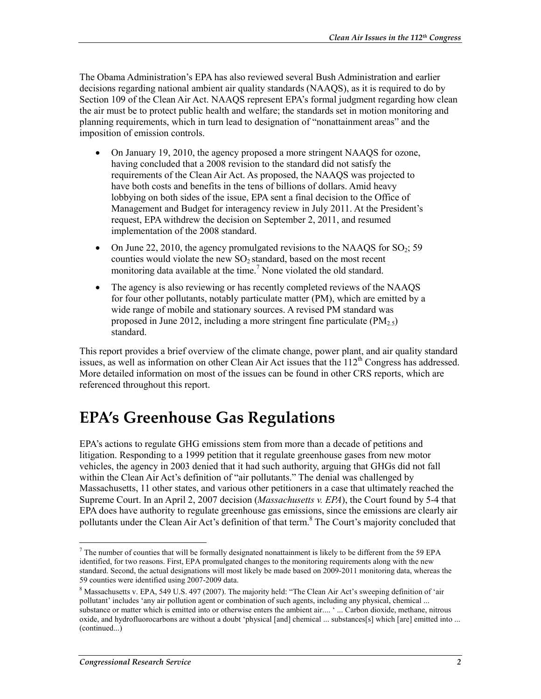The Obama Administration's EPA has also reviewed several Bush Administration and earlier decisions regarding national ambient air quality standards (NAAQS), as it is required to do by Section 109 of the Clean Air Act. NAAQS represent EPA's formal judgment regarding how clean the air must be to protect public health and welfare; the standards set in motion monitoring and planning requirements, which in turn lead to designation of "nonattainment areas" and the imposition of emission controls.

- On January 19, 2010, the agency proposed a more stringent NAAQS for ozone, having concluded that a 2008 revision to the standard did not satisfy the requirements of the Clean Air Act. As proposed, the NAAQS was projected to have both costs and benefits in the tens of billions of dollars. Amid heavy lobbying on both sides of the issue, EPA sent a final decision to the Office of Management and Budget for interagency review in July 2011. At the President's request, EPA withdrew the decision on September 2, 2011, and resumed implementation of the 2008 standard.
- On June 22, 2010, the agency promulgated revisions to the NAAQS for  $SO_2$ ; 59 counties would violate the new SO<sub>2</sub> standard, based on the most recent monitoring data available at the time.<sup>7</sup> None violated the old standard.
- The agency is also reviewing or has recently completed reviews of the NAAQS for four other pollutants, notably particulate matter (PM), which are emitted by a wide range of mobile and stationary sources. A revised PM standard was proposed in June 2012, including a more stringent fine particulate  $(PM_{2.5})$ standard.

This report provides a brief overview of the climate change, power plant, and air quality standard issues, as well as information on other Clean Air Act issues that the  $112<sup>th</sup>$  Congress has addressed. More detailed information on most of the issues can be found in other CRS reports, which are referenced throughout this report.

## **EPA's Greenhouse Gas Regulations**

EPA's actions to regulate GHG emissions stem from more than a decade of petitions and litigation. Responding to a 1999 petition that it regulate greenhouse gases from new motor vehicles, the agency in 2003 denied that it had such authority, arguing that GHGs did not fall within the Clean Air Act's definition of "air pollutants." The denial was challenged by Massachusetts, 11 other states, and various other petitioners in a case that ultimately reached the Supreme Court. In an April 2, 2007 decision (*Massachusetts v. EPA*), the Court found by 5-4 that EPA does have authority to regulate greenhouse gas emissions, since the emissions are clearly air pollutants under the Clean Air Act's definition of that term.<sup>8</sup> The Court's majority concluded that

 $<sup>7</sup>$  The number of counties that will be formally designated nonattainment is likely to be different from the 59 EPA</sup> identified, for two reasons. First, EPA promulgated changes to the monitoring requirements along with the new standard. Second, the actual designations will most likely be made based on 2009-2011 monitoring data, whereas the 59 counties were identified using 2007-2009 data.

<sup>&</sup>lt;sup>8</sup> Massachusetts v. EPA, 549 U.S. 497 (2007). The majority held: "The Clean Air Act's sweeping definition of 'air pollutant' includes 'any air pollution agent or combination of such agents, including any physical, chemical ... substance or matter which is emitted into or otherwise enters the ambient air.... ' ... Carbon dioxide, methane, nitrous oxide, and hydrofluorocarbons are without a doubt 'physical [and] chemical ... substances[s] which [are] emitted into ... (continued...)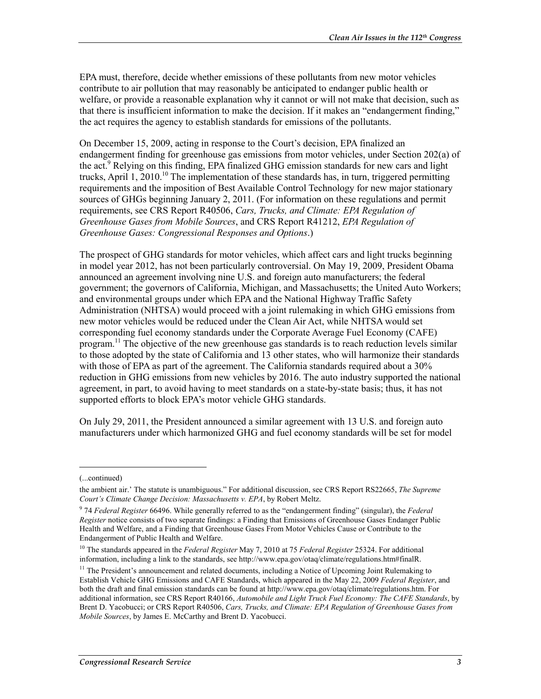EPA must, therefore, decide whether emissions of these pollutants from new motor vehicles contribute to air pollution that may reasonably be anticipated to endanger public health or welfare, or provide a reasonable explanation why it cannot or will not make that decision, such as that there is insufficient information to make the decision. If it makes an "endangerment finding," the act requires the agency to establish standards for emissions of the pollutants.

On December 15, 2009, acting in response to the Court's decision, EPA finalized an endangerment finding for greenhouse gas emissions from motor vehicles, under Section 202(a) of the act.<sup>9</sup> Relying on this finding, EPA finalized GHG emission standards for new cars and light trucks, April 1, 2010.<sup>10</sup> The implementation of these standards has, in turn, triggered permitting requirements and the imposition of Best Available Control Technology for new major stationary sources of GHGs beginning January 2, 2011. (For information on these regulations and permit requirements, see CRS Report R40506, *Cars, Trucks, and Climate: EPA Regulation of Greenhouse Gases from Mobile Sources*, and CRS Report R41212, *EPA Regulation of Greenhouse Gases: Congressional Responses and Options*.)

The prospect of GHG standards for motor vehicles, which affect cars and light trucks beginning in model year 2012, has not been particularly controversial. On May 19, 2009, President Obama announced an agreement involving nine U.S. and foreign auto manufacturers; the federal government; the governors of California, Michigan, and Massachusetts; the United Auto Workers; and environmental groups under which EPA and the National Highway Traffic Safety Administration (NHTSA) would proceed with a joint rulemaking in which GHG emissions from new motor vehicles would be reduced under the Clean Air Act, while NHTSA would set corresponding fuel economy standards under the Corporate Average Fuel Economy (CAFE) program.<sup>11</sup> The objective of the new greenhouse gas standards is to reach reduction levels similar to those adopted by the state of California and 13 other states, who will harmonize their standards with those of EPA as part of the agreement. The California standards required about a 30% reduction in GHG emissions from new vehicles by 2016. The auto industry supported the national agreement, in part, to avoid having to meet standards on a state-by-state basis; thus, it has not supported efforts to block EPA's motor vehicle GHG standards.

On July 29, 2011, the President announced a similar agreement with 13 U.S. and foreign auto manufacturers under which harmonized GHG and fuel economy standards will be set for model

<sup>(...</sup>continued)

the ambient air.' The statute is unambiguous." For additional discussion, see CRS Report RS22665, *The Supreme Court's Climate Change Decision: Massachusetts v. EPA*, by Robert Meltz.

<sup>9</sup> 74 *Federal Register* 66496. While generally referred to as the "endangerment finding" (singular), the *Federal Register* notice consists of two separate findings: a Finding that Emissions of Greenhouse Gases Endanger Public Health and Welfare, and a Finding that Greenhouse Gases From Motor Vehicles Cause or Contribute to the Endangerment of Public Health and Welfare.

<sup>10</sup> The standards appeared in the *Federal Register* May 7, 2010 at 75 *Federal Register* 25324. For additional information, including a link to the standards, see http://www.epa.gov/otaq/climate/regulations.htm#finalR.

<sup>&</sup>lt;sup>11</sup> The President's announcement and related documents, including a Notice of Upcoming Joint Rulemaking to Establish Vehicle GHG Emissions and CAFE Standards, which appeared in the May 22, 2009 *Federal Register*, and both the draft and final emission standards can be found at http://www.epa.gov/otaq/climate/regulations.htm. For additional information, see CRS Report R40166, *Automobile and Light Truck Fuel Economy: The CAFE Standards*, by Brent D. Yacobucci; or CRS Report R40506, *Cars, Trucks, and Climate: EPA Regulation of Greenhouse Gases from Mobile Sources*, by James E. McCarthy and Brent D. Yacobucci.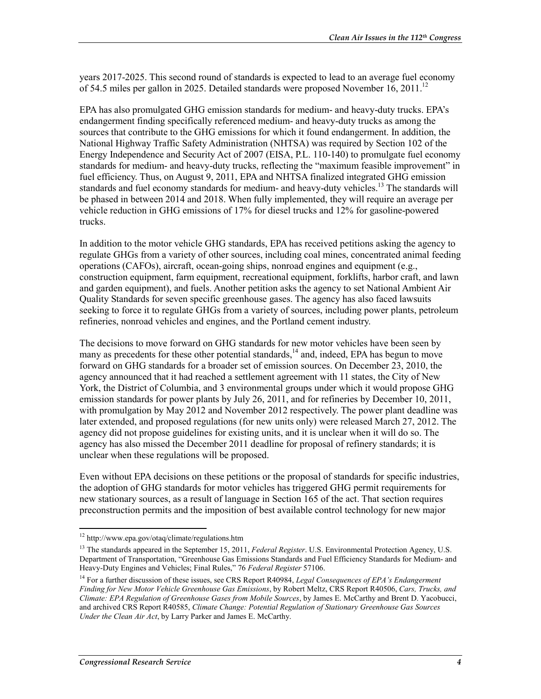years 2017-2025. This second round of standards is expected to lead to an average fuel economy of 54.5 miles per gallon in 2025. Detailed standards were proposed November  $16$ ,  $2011$ .<sup>12</sup>

EPA has also promulgated GHG emission standards for medium- and heavy-duty trucks. EPA's endangerment finding specifically referenced medium- and heavy-duty trucks as among the sources that contribute to the GHG emissions for which it found endangerment. In addition, the National Highway Traffic Safety Administration (NHTSA) was required by Section 102 of the Energy Independence and Security Act of 2007 (EISA, P.L. 110-140) to promulgate fuel economy standards for medium- and heavy-duty trucks, reflecting the "maximum feasible improvement" in fuel efficiency. Thus, on August 9, 2011, EPA and NHTSA finalized integrated GHG emission standards and fuel economy standards for medium- and heavy-duty vehicles.<sup>13</sup> The standards will be phased in between 2014 and 2018. When fully implemented, they will require an average per vehicle reduction in GHG emissions of 17% for diesel trucks and 12% for gasoline-powered trucks.

In addition to the motor vehicle GHG standards, EPA has received petitions asking the agency to regulate GHGs from a variety of other sources, including coal mines, concentrated animal feeding operations (CAFOs), aircraft, ocean-going ships, nonroad engines and equipment (e.g., construction equipment, farm equipment, recreational equipment, forklifts, harbor craft, and lawn and garden equipment), and fuels. Another petition asks the agency to set National Ambient Air Quality Standards for seven specific greenhouse gases. The agency has also faced lawsuits seeking to force it to regulate GHGs from a variety of sources, including power plants, petroleum refineries, nonroad vehicles and engines, and the Portland cement industry.

The decisions to move forward on GHG standards for new motor vehicles have been seen by many as precedents for these other potential standards, $14$  and, indeed, EPA has begun to move forward on GHG standards for a broader set of emission sources. On December 23, 2010, the agency announced that it had reached a settlement agreement with 11 states, the City of New York, the District of Columbia, and 3 environmental groups under which it would propose GHG emission standards for power plants by July 26, 2011, and for refineries by December 10, 2011, with promulgation by May 2012 and November 2012 respectively. The power plant deadline was later extended, and proposed regulations (for new units only) were released March 27, 2012. The agency did not propose guidelines for existing units, and it is unclear when it will do so. The agency has also missed the December 2011 deadline for proposal of refinery standards; it is unclear when these regulations will be proposed.

Even without EPA decisions on these petitions or the proposal of standards for specific industries, the adoption of GHG standards for motor vehicles has triggered GHG permit requirements for new stationary sources, as a result of language in Section 165 of the act. That section requires preconstruction permits and the imposition of best available control technology for new major

 $12$  http://www.epa.gov/otaq/climate/regulations.htm

<sup>13</sup> The standards appeared in the September 15, 2011, *Federal Register*. U.S. Environmental Protection Agency, U.S. Department of Transportation, "Greenhouse Gas Emissions Standards and Fuel Efficiency Standards for Medium- and Heavy-Duty Engines and Vehicles; Final Rules," 76 *Federal Register* 57106.

<sup>14</sup> For a further discussion of these issues, see CRS Report R40984, *Legal Consequences of EPA's Endangerment Finding for New Motor Vehicle Greenhouse Gas Emissions*, by Robert Meltz, CRS Report R40506, *Cars, Trucks, and Climate: EPA Regulation of Greenhouse Gases from Mobile Sources*, by James E. McCarthy and Brent D. Yacobucci, and archived CRS Report R40585, *Climate Change: Potential Regulation of Stationary Greenhouse Gas Sources Under the Clean Air Act*, by Larry Parker and James E. McCarthy.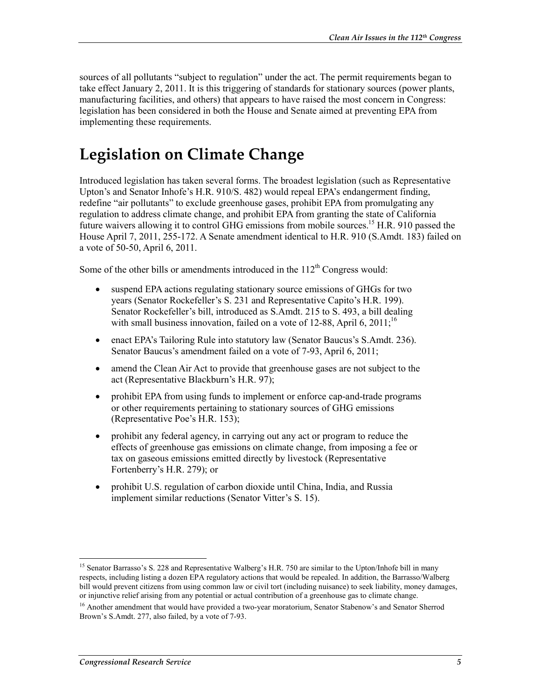sources of all pollutants "subject to regulation" under the act. The permit requirements began to take effect January 2, 2011. It is this triggering of standards for stationary sources (power plants, manufacturing facilities, and others) that appears to have raised the most concern in Congress: legislation has been considered in both the House and Senate aimed at preventing EPA from implementing these requirements.

## **Legislation on Climate Change**

Introduced legislation has taken several forms. The broadest legislation (such as Representative Upton's and Senator Inhofe's H.R. 910/S. 482) would repeal EPA's endangerment finding, redefine "air pollutants" to exclude greenhouse gases, prohibit EPA from promulgating any regulation to address climate change, and prohibit EPA from granting the state of California future waivers allowing it to control GHG emissions from mobile sources.<sup>15</sup> H.R. 910 passed the House April 7, 2011, 255-172. A Senate amendment identical to H.R. 910 (S.Amdt. 183) failed on a vote of 50-50, April 6, 2011.

Some of the other bills or amendments introduced in the  $112<sup>th</sup>$  Congress would:

- suspend EPA actions regulating stationary source emissions of GHGs for two years (Senator Rockefeller's S. 231 and Representative Capito's H.R. 199). Senator Rockefeller's bill, introduced as S.Amdt. 215 to S. 493, a bill dealing with small business innovation, failed on a vote of 12-88, April 6,  $2011$ ;<sup>16</sup>
- enact EPA's Tailoring Rule into statutory law (Senator Baucus's S.Amdt. 236). Senator Baucus's amendment failed on a vote of 7-93, April 6, 2011;
- amend the Clean Air Act to provide that greenhouse gases are not subject to the act (Representative Blackburn's H.R. 97);
- prohibit EPA from using funds to implement or enforce cap-and-trade programs or other requirements pertaining to stationary sources of GHG emissions (Representative Poe's H.R. 153);
- prohibit any federal agency, in carrying out any act or program to reduce the effects of greenhouse gas emissions on climate change, from imposing a fee or tax on gaseous emissions emitted directly by livestock (Representative Fortenberry's H.R. 279); or
- prohibit U.S. regulation of carbon dioxide until China, India, and Russia implement similar reductions (Senator Vitter's S. 15).

<sup>&</sup>lt;sup>15</sup> Senator Barrasso's S. 228 and Representative Walberg's H.R. 750 are similar to the Upton/Inhofe bill in many respects, including listing a dozen EPA regulatory actions that would be repealed. In addition, the Barrasso/Walberg bill would prevent citizens from using common law or civil tort (including nuisance) to seek liability, money damages, or injunctive relief arising from any potential or actual contribution of a greenhouse gas to climate change.

<sup>&</sup>lt;sup>16</sup> Another amendment that would have provided a two-year moratorium, Senator Stabenow's and Senator Sherrod Brown's S.Amdt. 277, also failed, by a vote of 7-93.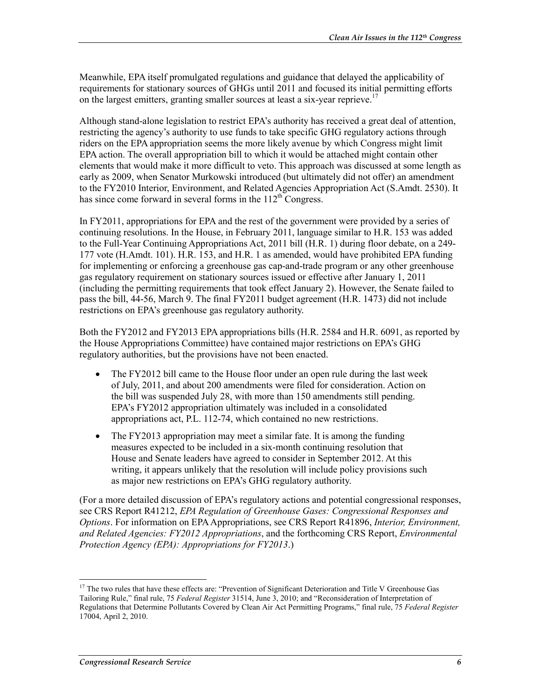Meanwhile, EPA itself promulgated regulations and guidance that delayed the applicability of requirements for stationary sources of GHGs until 2011 and focused its initial permitting efforts on the largest emitters, granting smaller sources at least a six-year reprieve.<sup>17</sup>

Although stand-alone legislation to restrict EPA's authority has received a great deal of attention, restricting the agency's authority to use funds to take specific GHG regulatory actions through riders on the EPA appropriation seems the more likely avenue by which Congress might limit EPA action. The overall appropriation bill to which it would be attached might contain other elements that would make it more difficult to veto. This approach was discussed at some length as early as 2009, when Senator Murkowski introduced (but ultimately did not offer) an amendment to the FY2010 Interior, Environment, and Related Agencies Appropriation Act (S.Amdt. 2530). It has since come forward in several forms in the  $112<sup>th</sup>$  Congress.

In FY2011, appropriations for EPA and the rest of the government were provided by a series of continuing resolutions. In the House, in February 2011, language similar to H.R. 153 was added to the Full-Year Continuing Appropriations Act, 2011 bill (H.R. 1) during floor debate, on a 249- 177 vote (H.Amdt. 101). H.R. 153, and H.R. 1 as amended, would have prohibited EPA funding for implementing or enforcing a greenhouse gas cap-and-trade program or any other greenhouse gas regulatory requirement on stationary sources issued or effective after January 1, 2011 (including the permitting requirements that took effect January 2). However, the Senate failed to pass the bill, 44-56, March 9. The final FY2011 budget agreement (H.R. 1473) did not include restrictions on EPA's greenhouse gas regulatory authority.

Both the FY2012 and FY2013 EPA appropriations bills (H.R. 2584 and H.R. 6091, as reported by the House Appropriations Committee) have contained major restrictions on EPA's GHG regulatory authorities, but the provisions have not been enacted.

- The FY2012 bill came to the House floor under an open rule during the last week of July, 2011, and about 200 amendments were filed for consideration. Action on the bill was suspended July 28, with more than 150 amendments still pending. EPA's FY2012 appropriation ultimately was included in a consolidated appropriations act, P.L. 112-74, which contained no new restrictions.
- The FY2013 appropriation may meet a similar fate. It is among the funding measures expected to be included in a six-month continuing resolution that House and Senate leaders have agreed to consider in September 2012. At this writing, it appears unlikely that the resolution will include policy provisions such as major new restrictions on EPA's GHG regulatory authority.

(For a more detailed discussion of EPA's regulatory actions and potential congressional responses, see CRS Report R41212, *EPA Regulation of Greenhouse Gases: Congressional Responses and Options*. For information on EPA Appropriations, see CRS Report R41896, *Interior, Environment, and Related Agencies: FY2012 Appropriations*, and the forthcoming CRS Report, *Environmental Protection Agency (EPA): Appropriations for FY2013*.)

<sup>&</sup>lt;sup>17</sup> The two rules that have these effects are: "Prevention of Significant Deterioration and Title V Greenhouse Gas Tailoring Rule," final rule, 75 *Federal Register* 31514, June 3, 2010; and "Reconsideration of Interpretation of Regulations that Determine Pollutants Covered by Clean Air Act Permitting Programs," final rule, 75 *Federal Register* 17004, April 2, 2010.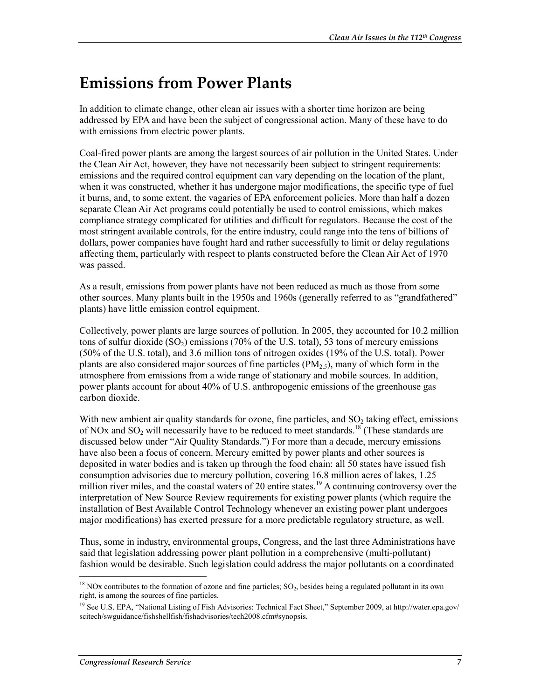## **Emissions from Power Plants**

In addition to climate change, other clean air issues with a shorter time horizon are being addressed by EPA and have been the subject of congressional action. Many of these have to do with emissions from electric power plants.

Coal-fired power plants are among the largest sources of air pollution in the United States. Under the Clean Air Act, however, they have not necessarily been subject to stringent requirements: emissions and the required control equipment can vary depending on the location of the plant, when it was constructed, whether it has undergone major modifications, the specific type of fuel it burns, and, to some extent, the vagaries of EPA enforcement policies. More than half a dozen separate Clean Air Act programs could potentially be used to control emissions, which makes compliance strategy complicated for utilities and difficult for regulators. Because the cost of the most stringent available controls, for the entire industry, could range into the tens of billions of dollars, power companies have fought hard and rather successfully to limit or delay regulations affecting them, particularly with respect to plants constructed before the Clean Air Act of 1970 was passed.

As a result, emissions from power plants have not been reduced as much as those from some other sources. Many plants built in the 1950s and 1960s (generally referred to as "grandfathered" plants) have little emission control equipment.

Collectively, power plants are large sources of pollution. In 2005, they accounted for 10.2 million tons of sulfur dioxide  $(SO<sub>2</sub>)$  emissions (70% of the U.S. total), 53 tons of mercury emissions (50% of the U.S. total), and 3.6 million tons of nitrogen oxides (19% of the U.S. total). Power plants are also considered major sources of fine particles  $(PM_{2.5})$ , many of which form in the atmosphere from emissions from a wide range of stationary and mobile sources. In addition, power plants account for about 40% of U.S. anthropogenic emissions of the greenhouse gas carbon dioxide.

With new ambient air quality standards for ozone, fine particles, and  $SO<sub>2</sub>$  taking effect, emissions of NOx and SO<sub>2</sub> will necessarily have to be reduced to meet standards.<sup>18</sup> (These standards are discussed below under "Air Quality Standards.") For more than a decade, mercury emissions have also been a focus of concern. Mercury emitted by power plants and other sources is deposited in water bodies and is taken up through the food chain: all 50 states have issued fish consumption advisories due to mercury pollution, covering 16.8 million acres of lakes, 1.25 million river miles, and the coastal waters of 20 entire states.<sup>19</sup> A continuing controversy over the interpretation of New Source Review requirements for existing power plants (which require the installation of Best Available Control Technology whenever an existing power plant undergoes major modifications) has exerted pressure for a more predictable regulatory structure, as well.

Thus, some in industry, environmental groups, Congress, and the last three Administrations have said that legislation addressing power plant pollution in a comprehensive (multi-pollutant) fashion would be desirable. Such legislation could address the major pollutants on a coordinated

<sup>&</sup>lt;sup>18</sup> NOx contributes to the formation of ozone and fine particles; SO<sub>2</sub>, besides being a regulated pollutant in its own right, is among the sources of fine particles.

<sup>&</sup>lt;sup>19</sup> See U.S. EPA, "National Listing of Fish Advisories: Technical Fact Sheet," September 2009, at http://water.epa.gov/ scitech/swguidance/fishshellfish/fishadvisories/tech2008.cfm#synopsis.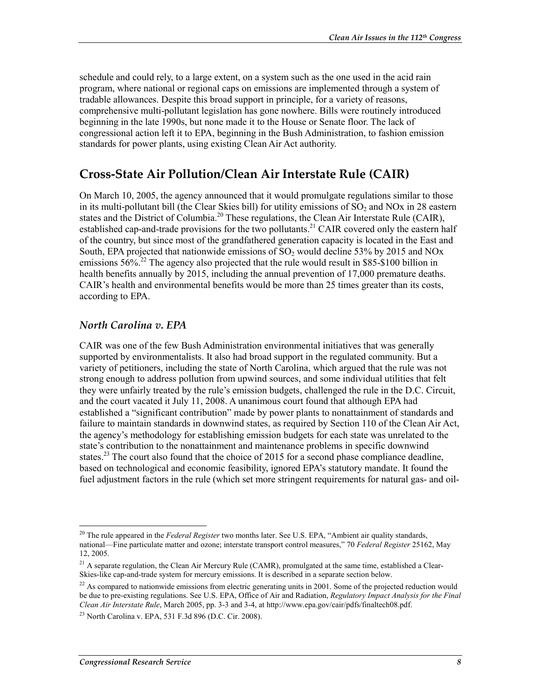schedule and could rely, to a large extent, on a system such as the one used in the acid rain program, where national or regional caps on emissions are implemented through a system of tradable allowances. Despite this broad support in principle, for a variety of reasons, comprehensive multi-pollutant legislation has gone nowhere. Bills were routinely introduced beginning in the late 1990s, but none made it to the House or Senate floor. The lack of congressional action left it to EPA, beginning in the Bush Administration, to fashion emission standards for power plants, using existing Clean Air Act authority.

### **Cross-State Air Pollution/Clean Air Interstate Rule (CAIR)**

On March 10, 2005, the agency announced that it would promulgate regulations similar to those in its multi-pollutant bill (the Clear Skies bill) for utility emissions of  $SO<sub>2</sub>$  and NOx in 28 eastern states and the District of Columbia.<sup>20</sup> These regulations, the Clean Air Interstate Rule (CAIR), established cap-and-trade provisions for the two pollutants.<sup>21</sup> CAIR covered only the eastern half of the country, but since most of the grandfathered generation capacity is located in the East and South, EPA projected that nationwide emissions of  $SO_2$  would decline 53% by 2015 and NOx emissions  $56\%$ <sup>22</sup>. The agency also projected that the rule would result in \$85-\$100 billion in health benefits annually by 2015, including the annual prevention of 17,000 premature deaths. CAIR's health and environmental benefits would be more than 25 times greater than its costs, according to EPA.

#### *North Carolina v. EPA*

CAIR was one of the few Bush Administration environmental initiatives that was generally supported by environmentalists. It also had broad support in the regulated community. But a variety of petitioners, including the state of North Carolina, which argued that the rule was not strong enough to address pollution from upwind sources, and some individual utilities that felt they were unfairly treated by the rule's emission budgets, challenged the rule in the D.C. Circuit, and the court vacated it July 11, 2008. A unanimous court found that although EPA had established a "significant contribution" made by power plants to nonattainment of standards and failure to maintain standards in downwind states, as required by Section 110 of the Clean Air Act, the agency's methodology for establishing emission budgets for each state was unrelated to the state's contribution to the nonattainment and maintenance problems in specific downwind states.<sup>23</sup> The court also found that the choice of 2015 for a second phase compliance deadline, based on technological and economic feasibility, ignored EPA's statutory mandate. It found the fuel adjustment factors in the rule (which set more stringent requirements for natural gas- and oil-

<sup>1</sup> 20 The rule appeared in the *Federal Register* two months later. See U.S. EPA, "Ambient air quality standards, national—Fine particulate matter and ozone; interstate transport control measures," 70 *Federal Register* 25162, May 12, 2005.

<sup>&</sup>lt;sup>21</sup> A separate regulation, the Clean Air Mercury Rule (CAMR), promulgated at the same time, established a Clear-Skies-like cap-and-trade system for mercury emissions. It is described in a separate section below.

<sup>&</sup>lt;sup>22</sup> As compared to nationwide emissions from electric generating units in 2001. Some of the projected reduction would be due to pre-existing regulations. See U.S. EPA, Office of Air and Radiation, *Regulatory Impact Analysis for the Final Clean Air Interstate Rule*, March 2005, pp. 3-3 and 3-4, at http://www.epa.gov/cair/pdfs/finaltech08.pdf.

<sup>23</sup> North Carolina v. EPA, 531 F.3d 896 (D.C. Cir. 2008).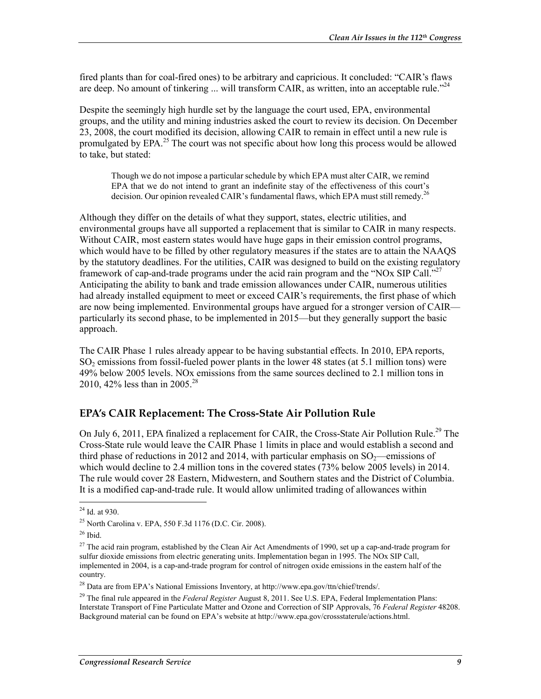fired plants than for coal-fired ones) to be arbitrary and capricious. It concluded: "CAIR's flaws are deep. No amount of tinkering ... will transform CAIR, as written, into an acceptable rule."<sup>24</sup>

Despite the seemingly high hurdle set by the language the court used, EPA, environmental groups, and the utility and mining industries asked the court to review its decision. On December 23, 2008, the court modified its decision, allowing CAIR to remain in effect until a new rule is promulgated by EPA.<sup>25</sup> The court was not specific about how long this process would be allowed to take, but stated:

Though we do not impose a particular schedule by which EPA must alter CAIR, we remind EPA that we do not intend to grant an indefinite stay of the effectiveness of this court's decision. Our opinion revealed CAIR's fundamental flaws, which EPA must still remedy.<sup>26</sup>

Although they differ on the details of what they support, states, electric utilities, and environmental groups have all supported a replacement that is similar to CAIR in many respects. Without CAIR, most eastern states would have huge gaps in their emission control programs, which would have to be filled by other regulatory measures if the states are to attain the NAAQS by the statutory deadlines. For the utilities, CAIR was designed to build on the existing regulatory framework of cap-and-trade programs under the acid rain program and the "NOx SIP Call."<sup>27</sup> Anticipating the ability to bank and trade emission allowances under CAIR, numerous utilities had already installed equipment to meet or exceed CAIR's requirements, the first phase of which are now being implemented. Environmental groups have argued for a stronger version of CAIR particularly its second phase, to be implemented in 2015—but they generally support the basic approach.

The CAIR Phase 1 rules already appear to be having substantial effects. In 2010, EPA reports,  $SO<sub>2</sub>$  emissions from fossil-fueled power plants in the lower 48 states (at 5.1 million tons) were 49% below 2005 levels. NOx emissions from the same sources declined to 2.1 million tons in 2010, 42% less than in 2005.<sup>28</sup>

#### **EPA's CAIR Replacement: The Cross-State Air Pollution Rule**

On July 6, 2011, EPA finalized a replacement for CAIR, the Cross-State Air Pollution Rule.<sup>29</sup> The Cross-State rule would leave the CAIR Phase 1 limits in place and would establish a second and third phase of reductions in 2012 and 2014, with particular emphasis on  $SO_2$ —emissions of which would decline to 2.4 million tons in the covered states (73% below 2005 levels) in 2014. The rule would cover 28 Eastern, Midwestern, and Southern states and the District of Columbia. It is a modified cap-and-trade rule. It would allow unlimited trading of allowances within

<sup>&</sup>lt;u>.</u>  $^{24}$  Id. at 930.

<sup>25</sup> North Carolina v. EPA, 550 F.3d 1176 (D.C. Cir. 2008).

 $26$  Ibid.

<sup>&</sup>lt;sup>27</sup> The acid rain program, established by the Clean Air Act Amendments of 1990, set up a cap-and-trade program for sulfur dioxide emissions from electric generating units. Implementation began in 1995. The NOx SIP Call, implemented in 2004, is a cap-and-trade program for control of nitrogen oxide emissions in the eastern half of the country.

<sup>&</sup>lt;sup>28</sup> Data are from EPA's National Emissions Inventory, at http://www.epa.gov/ttn/chief/trends/.

<sup>&</sup>lt;sup>29</sup> The final rule appeared in the *Federal Register* August 8, 2011. See U.S. EPA, Federal Implementation Plans: Interstate Transport of Fine Particulate Matter and Ozone and Correction of SIP Approvals, 76 *Federal Register* 48208. Background material can be found on EPA's website at http://www.epa.gov/crossstaterule/actions.html.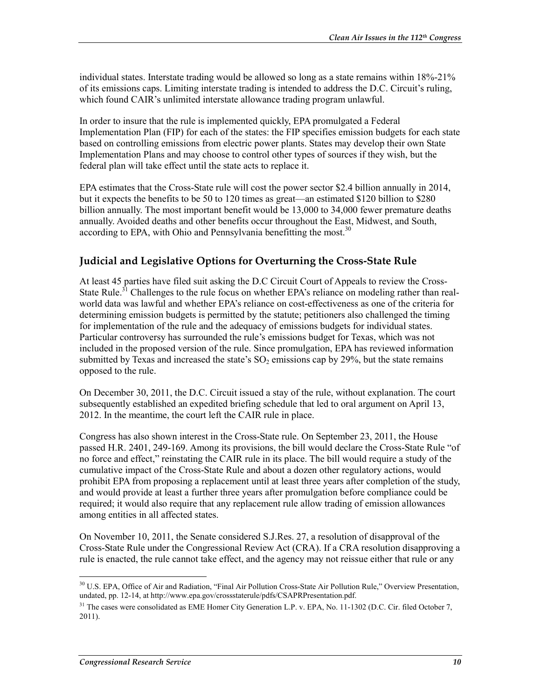individual states. Interstate trading would be allowed so long as a state remains within 18%-21% of its emissions caps. Limiting interstate trading is intended to address the D.C. Circuit's ruling, which found CAIR's unlimited interstate allowance trading program unlawful.

In order to insure that the rule is implemented quickly, EPA promulgated a Federal Implementation Plan (FIP) for each of the states: the FIP specifies emission budgets for each state based on controlling emissions from electric power plants. States may develop their own State Implementation Plans and may choose to control other types of sources if they wish, but the federal plan will take effect until the state acts to replace it.

EPA estimates that the Cross-State rule will cost the power sector \$2.4 billion annually in 2014, but it expects the benefits to be 50 to 120 times as great—an estimated \$120 billion to \$280 billion annually. The most important benefit would be 13,000 to 34,000 fewer premature deaths annually. Avoided deaths and other benefits occur throughout the East, Midwest, and South, according to EPA, with Ohio and Pennsylvania benefitting the most.<sup>30</sup>

#### **Judicial and Legislative Options for Overturning the Cross-State Rule**

At least 45 parties have filed suit asking the D.C Circuit Court of Appeals to review the Cross-State Rule.<sup>31</sup> Challenges to the rule focus on whether EPA's reliance on modeling rather than realworld data was lawful and whether EPA's reliance on cost-effectiveness as one of the criteria for determining emission budgets is permitted by the statute; petitioners also challenged the timing for implementation of the rule and the adequacy of emissions budgets for individual states. Particular controversy has surrounded the rule's emissions budget for Texas, which was not included in the proposed version of the rule. Since promulgation, EPA has reviewed information submitted by Texas and increased the state's  $SO<sub>2</sub>$  emissions cap by 29%, but the state remains opposed to the rule.

On December 30, 2011, the D.C. Circuit issued a stay of the rule, without explanation. The court subsequently established an expedited briefing schedule that led to oral argument on April 13, 2012. In the meantime, the court left the CAIR rule in place.

Congress has also shown interest in the Cross-State rule. On September 23, 2011, the House passed H.R. 2401, 249-169. Among its provisions, the bill would declare the Cross-State Rule "of no force and effect," reinstating the CAIR rule in its place. The bill would require a study of the cumulative impact of the Cross-State Rule and about a dozen other regulatory actions, would prohibit EPA from proposing a replacement until at least three years after completion of the study, and would provide at least a further three years after promulgation before compliance could be required; it would also require that any replacement rule allow trading of emission allowances among entities in all affected states.

On November 10, 2011, the Senate considered S.J.Res. 27, a resolution of disapproval of the Cross-State Rule under the Congressional Review Act (CRA). If a CRA resolution disapproving a rule is enacted, the rule cannot take effect, and the agency may not reissue either that rule or any

<sup>1</sup> <sup>30</sup> U.S. EPA, Office of Air and Radiation, "Final Air Pollution Cross-State Air Pollution Rule," Overview Presentation, undated, pp. 12-14, at http://www.epa.gov/crossstaterule/pdfs/CSAPRPresentation.pdf.

<sup>&</sup>lt;sup>31</sup> The cases were consolidated as EME Homer City Generation L.P. v. EPA, No. 11-1302 (D.C. Cir. filed October 7, 2011).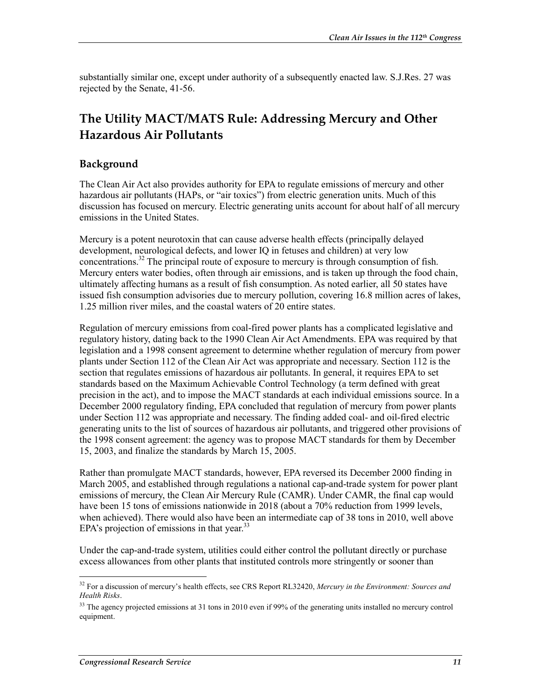substantially similar one, except under authority of a subsequently enacted law. S.J.Res. 27 was rejected by the Senate, 41-56.

## **The Utility MACT/MATS Rule: Addressing Mercury and Other Hazardous Air Pollutants**

#### **Background**

The Clean Air Act also provides authority for EPA to regulate emissions of mercury and other hazardous air pollutants (HAPs, or "air toxics") from electric generation units. Much of this discussion has focused on mercury. Electric generating units account for about half of all mercury emissions in the United States.

Mercury is a potent neurotoxin that can cause adverse health effects (principally delayed development, neurological defects, and lower IQ in fetuses and children) at very low concentrations.32 The principal route of exposure to mercury is through consumption of fish. Mercury enters water bodies, often through air emissions, and is taken up through the food chain, ultimately affecting humans as a result of fish consumption. As noted earlier, all 50 states have issued fish consumption advisories due to mercury pollution, covering 16.8 million acres of lakes, 1.25 million river miles, and the coastal waters of 20 entire states.

Regulation of mercury emissions from coal-fired power plants has a complicated legislative and regulatory history, dating back to the 1990 Clean Air Act Amendments. EPA was required by that legislation and a 1998 consent agreement to determine whether regulation of mercury from power plants under Section 112 of the Clean Air Act was appropriate and necessary. Section 112 is the section that regulates emissions of hazardous air pollutants. In general, it requires EPA to set standards based on the Maximum Achievable Control Technology (a term defined with great precision in the act), and to impose the MACT standards at each individual emissions source. In a December 2000 regulatory finding, EPA concluded that regulation of mercury from power plants under Section 112 was appropriate and necessary. The finding added coal- and oil-fired electric generating units to the list of sources of hazardous air pollutants, and triggered other provisions of the 1998 consent agreement: the agency was to propose MACT standards for them by December 15, 2003, and finalize the standards by March 15, 2005.

Rather than promulgate MACT standards, however, EPA reversed its December 2000 finding in March 2005, and established through regulations a national cap-and-trade system for power plant emissions of mercury, the Clean Air Mercury Rule (CAMR). Under CAMR, the final cap would have been 15 tons of emissions nationwide in 2018 (about a 70% reduction from 1999 levels, when achieved). There would also have been an intermediate cap of 38 tons in 2010, well above EPA's projection of emissions in that year. $33$ 

Under the cap-and-trade system, utilities could either control the pollutant directly or purchase excess allowances from other plants that instituted controls more stringently or sooner than

<sup>32</sup> For a discussion of mercury's health effects, see CRS Report RL32420, *Mercury in the Environment: Sources and Health Risks*.

<sup>&</sup>lt;sup>33</sup> The agency projected emissions at 31 tons in 2010 even if 99% of the generating units installed no mercury control equipment.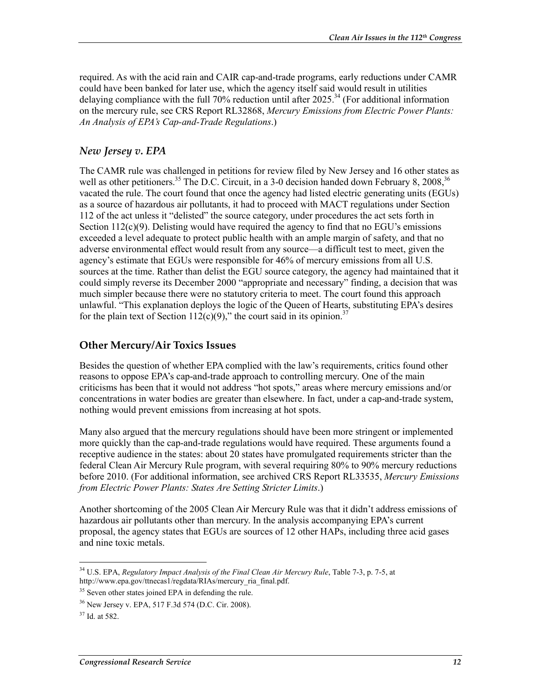required. As with the acid rain and CAIR cap-and-trade programs, early reductions under CAMR could have been banked for later use, which the agency itself said would result in utilities delaying compliance with the full 70% reduction until after 2025.<sup>34</sup> (For additional information on the mercury rule, see CRS Report RL32868, *Mercury Emissions from Electric Power Plants: An Analysis of EPA's Cap-and-Trade Regulations*.)

#### *New Jersey v. EPA*

The CAMR rule was challenged in petitions for review filed by New Jersey and 16 other states as well as other petitioners.<sup>35</sup> The D.C. Circuit, in a 3-0 decision handed down February 8, 2008,<sup>36</sup> vacated the rule. The court found that once the agency had listed electric generating units (EGUs) as a source of hazardous air pollutants, it had to proceed with MACT regulations under Section 112 of the act unless it "delisted" the source category, under procedures the act sets forth in Section  $112(c)(9)$ . Delisting would have required the agency to find that no EGU's emissions exceeded a level adequate to protect public health with an ample margin of safety, and that no adverse environmental effect would result from any source—a difficult test to meet, given the agency's estimate that EGUs were responsible for 46% of mercury emissions from all U.S. sources at the time. Rather than delist the EGU source category, the agency had maintained that it could simply reverse its December 2000 "appropriate and necessary" finding, a decision that was much simpler because there were no statutory criteria to meet. The court found this approach unlawful. "This explanation deploys the logic of the Queen of Hearts, substituting EPA's desires for the plain text of Section 112(c)(9)," the court said in its opinion.<sup>37</sup>

#### **Other Mercury/Air Toxics Issues**

Besides the question of whether EPA complied with the law's requirements, critics found other reasons to oppose EPA's cap-and-trade approach to controlling mercury. One of the main criticisms has been that it would not address "hot spots," areas where mercury emissions and/or concentrations in water bodies are greater than elsewhere. In fact, under a cap-and-trade system, nothing would prevent emissions from increasing at hot spots.

Many also argued that the mercury regulations should have been more stringent or implemented more quickly than the cap-and-trade regulations would have required. These arguments found a receptive audience in the states: about 20 states have promulgated requirements stricter than the federal Clean Air Mercury Rule program, with several requiring 80% to 90% mercury reductions before 2010. (For additional information, see archived CRS Report RL33535, *Mercury Emissions from Electric Power Plants: States Are Setting Stricter Limits*.)

Another shortcoming of the 2005 Clean Air Mercury Rule was that it didn't address emissions of hazardous air pollutants other than mercury. In the analysis accompanying EPA's current proposal, the agency states that EGUs are sources of 12 other HAPs, including three acid gases and nine toxic metals.

<sup>1</sup> 34 U.S. EPA, *Regulatory Impact Analysis of the Final Clean Air Mercury Rule*, Table 7-3, p. 7-5, at http://www.epa.gov/ttnecas1/regdata/RIAs/mercury\_ria\_final.pdf.

<sup>&</sup>lt;sup>35</sup> Seven other states joined EPA in defending the rule.

<sup>36</sup> New Jersey v. EPA, 517 F.3d 574 (D.C. Cir. 2008).

 $37$  Id. at 582.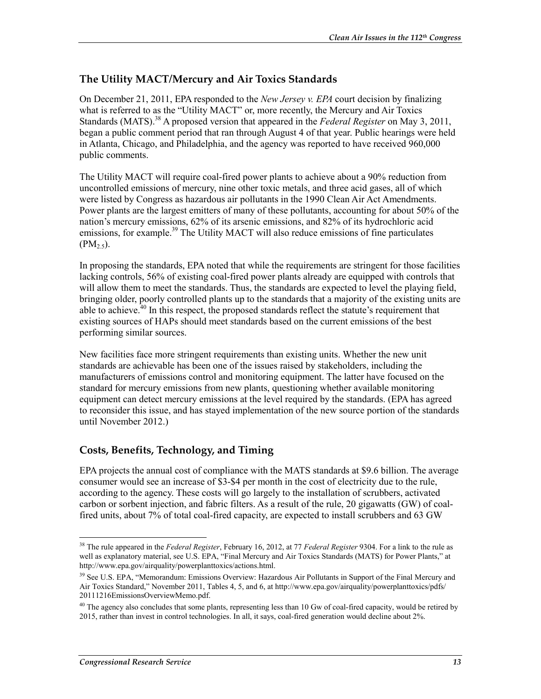#### **The Utility MACT/Mercury and Air Toxics Standards**

On December 21, 2011, EPA responded to the *New Jersey v. EPA* court decision by finalizing what is referred to as the "Utility MACT" or, more recently, the Mercury and Air Toxics Standards (MATS).<sup>38</sup> A proposed version that appeared in the *Federal Register* on May 3, 2011, began a public comment period that ran through August 4 of that year. Public hearings were held in Atlanta, Chicago, and Philadelphia, and the agency was reported to have received 960,000 public comments.

The Utility MACT will require coal-fired power plants to achieve about a 90% reduction from uncontrolled emissions of mercury, nine other toxic metals, and three acid gases, all of which were listed by Congress as hazardous air pollutants in the 1990 Clean Air Act Amendments. Power plants are the largest emitters of many of these pollutants, accounting for about 50% of the nation's mercury emissions, 62% of its arsenic emissions, and 82% of its hydrochloric acid emissions, for example.<sup>39</sup> The Utility MACT will also reduce emissions of fine particulates  $(PM_2, \varsigma)$ .

In proposing the standards, EPA noted that while the requirements are stringent for those facilities lacking controls, 56% of existing coal-fired power plants already are equipped with controls that will allow them to meet the standards. Thus, the standards are expected to level the playing field, bringing older, poorly controlled plants up to the standards that a majority of the existing units are able to achieve.<sup>40</sup> In this respect, the proposed standards reflect the statute's requirement that existing sources of HAPs should meet standards based on the current emissions of the best performing similar sources.

New facilities face more stringent requirements than existing units. Whether the new unit standards are achievable has been one of the issues raised by stakeholders, including the manufacturers of emissions control and monitoring equipment. The latter have focused on the standard for mercury emissions from new plants, questioning whether available monitoring equipment can detect mercury emissions at the level required by the standards. (EPA has agreed to reconsider this issue, and has stayed implementation of the new source portion of the standards until November 2012.)

#### **Costs, Benefits, Technology, and Timing**

EPA projects the annual cost of compliance with the MATS standards at \$9.6 billion. The average consumer would see an increase of \$3-\$4 per month in the cost of electricity due to the rule, according to the agency. These costs will go largely to the installation of scrubbers, activated carbon or sorbent injection, and fabric filters. As a result of the rule, 20 gigawatts (GW) of coalfired units, about 7% of total coal-fired capacity, are expected to install scrubbers and 63 GW

<sup>1</sup> 38 The rule appeared in the *Federal Register*, February 16, 2012, at 77 *Federal Register* 9304. For a link to the rule as well as explanatory material, see U.S. EPA, "Final Mercury and Air Toxics Standards (MATS) for Power Plants," at http://www.epa.gov/airquality/powerplanttoxics/actions.html.

<sup>&</sup>lt;sup>39</sup> See U.S. EPA, "Memorandum: Emissions Overview: Hazardous Air Pollutants in Support of the Final Mercury and Air Toxics Standard," November 2011, Tables 4, 5, and 6, at http://www.epa.gov/airquality/powerplanttoxics/pdfs/ 20111216EmissionsOverviewMemo.pdf.

 $40$  The agency also concludes that some plants, representing less than 10 Gw of coal-fired capacity, would be retired by 2015, rather than invest in control technologies. In all, it says, coal-fired generation would decline about 2%.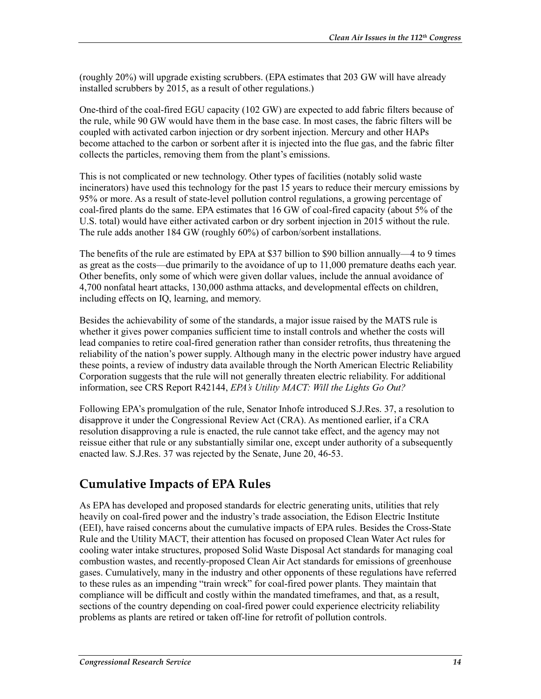(roughly 20%) will upgrade existing scrubbers. (EPA estimates that 203 GW will have already installed scrubbers by 2015, as a result of other regulations.)

One-third of the coal-fired EGU capacity (102 GW) are expected to add fabric filters because of the rule, while 90 GW would have them in the base case. In most cases, the fabric filters will be coupled with activated carbon injection or dry sorbent injection. Mercury and other HAPs become attached to the carbon or sorbent after it is injected into the flue gas, and the fabric filter collects the particles, removing them from the plant's emissions.

This is not complicated or new technology. Other types of facilities (notably solid waste incinerators) have used this technology for the past 15 years to reduce their mercury emissions by 95% or more. As a result of state-level pollution control regulations, a growing percentage of coal-fired plants do the same. EPA estimates that 16 GW of coal-fired capacity (about 5% of the U.S. total) would have either activated carbon or dry sorbent injection in 2015 without the rule. The rule adds another 184 GW (roughly 60%) of carbon/sorbent installations.

The benefits of the rule are estimated by EPA at \$37 billion to \$90 billion annually—4 to 9 times as great as the costs—due primarily to the avoidance of up to 11,000 premature deaths each year. Other benefits, only some of which were given dollar values, include the annual avoidance of 4,700 nonfatal heart attacks, 130,000 asthma attacks, and developmental effects on children, including effects on IQ, learning, and memory.

Besides the achievability of some of the standards, a major issue raised by the MATS rule is whether it gives power companies sufficient time to install controls and whether the costs will lead companies to retire coal-fired generation rather than consider retrofits, thus threatening the reliability of the nation's power supply. Although many in the electric power industry have argued these points, a review of industry data available through the North American Electric Reliability Corporation suggests that the rule will not generally threaten electric reliability. For additional information, see CRS Report R42144, *EPA's Utility MACT: Will the Lights Go Out?*

Following EPA's promulgation of the rule, Senator Inhofe introduced S.J.Res. 37, a resolution to disapprove it under the Congressional Review Act (CRA). As mentioned earlier, if a CRA resolution disapproving a rule is enacted, the rule cannot take effect, and the agency may not reissue either that rule or any substantially similar one, except under authority of a subsequently enacted law. S.J.Res. 37 was rejected by the Senate, June 20, 46-53.

### **Cumulative Impacts of EPA Rules**

As EPA has developed and proposed standards for electric generating units, utilities that rely heavily on coal-fired power and the industry's trade association, the Edison Electric Institute (EEI), have raised concerns about the cumulative impacts of EPA rules. Besides the Cross-State Rule and the Utility MACT, their attention has focused on proposed Clean Water Act rules for cooling water intake structures, proposed Solid Waste Disposal Act standards for managing coal combustion wastes, and recently-proposed Clean Air Act standards for emissions of greenhouse gases. Cumulatively, many in the industry and other opponents of these regulations have referred to these rules as an impending "train wreck" for coal-fired power plants. They maintain that compliance will be difficult and costly within the mandated timeframes, and that, as a result, sections of the country depending on coal-fired power could experience electricity reliability problems as plants are retired or taken off-line for retrofit of pollution controls.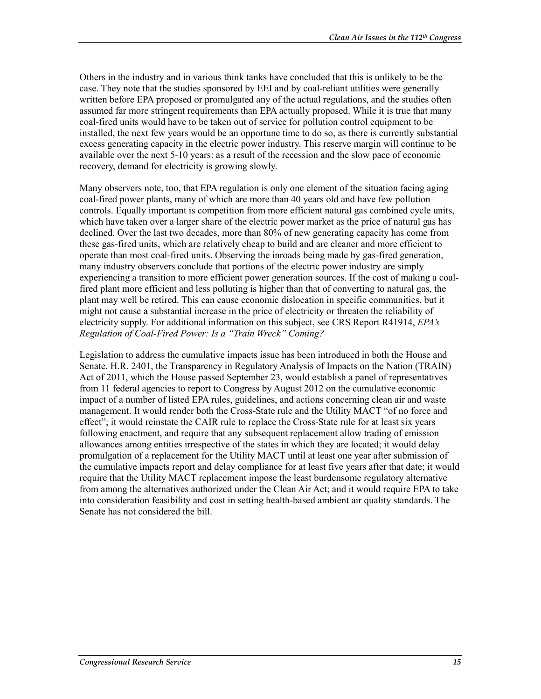Others in the industry and in various think tanks have concluded that this is unlikely to be the case. They note that the studies sponsored by EEI and by coal-reliant utilities were generally written before EPA proposed or promulgated any of the actual regulations, and the studies often assumed far more stringent requirements than EPA actually proposed. While it is true that many coal-fired units would have to be taken out of service for pollution control equipment to be installed, the next few years would be an opportune time to do so, as there is currently substantial excess generating capacity in the electric power industry. This reserve margin will continue to be available over the next 5-10 years: as a result of the recession and the slow pace of economic recovery, demand for electricity is growing slowly.

Many observers note, too, that EPA regulation is only one element of the situation facing aging coal-fired power plants, many of which are more than 40 years old and have few pollution controls. Equally important is competition from more efficient natural gas combined cycle units, which have taken over a larger share of the electric power market as the price of natural gas has declined. Over the last two decades, more than 80% of new generating capacity has come from these gas-fired units, which are relatively cheap to build and are cleaner and more efficient to operate than most coal-fired units. Observing the inroads being made by gas-fired generation, many industry observers conclude that portions of the electric power industry are simply experiencing a transition to more efficient power generation sources. If the cost of making a coalfired plant more efficient and less polluting is higher than that of converting to natural gas, the plant may well be retired. This can cause economic dislocation in specific communities, but it might not cause a substantial increase in the price of electricity or threaten the reliability of electricity supply. For additional information on this subject, see CRS Report R41914, *EPA's Regulation of Coal-Fired Power: Is a "Train Wreck" Coming?*

Legislation to address the cumulative impacts issue has been introduced in both the House and Senate. H.R. 2401, the Transparency in Regulatory Analysis of Impacts on the Nation (TRAIN) Act of 2011, which the House passed September 23, would establish a panel of representatives from 11 federal agencies to report to Congress by August 2012 on the cumulative economic impact of a number of listed EPA rules, guidelines, and actions concerning clean air and waste management. It would render both the Cross-State rule and the Utility MACT "of no force and effect"; it would reinstate the CAIR rule to replace the Cross-State rule for at least six years following enactment, and require that any subsequent replacement allow trading of emission allowances among entities irrespective of the states in which they are located; it would delay promulgation of a replacement for the Utility MACT until at least one year after submission of the cumulative impacts report and delay compliance for at least five years after that date; it would require that the Utility MACT replacement impose the least burdensome regulatory alternative from among the alternatives authorized under the Clean Air Act; and it would require EPA to take into consideration feasibility and cost in setting health-based ambient air quality standards. The Senate has not considered the bill.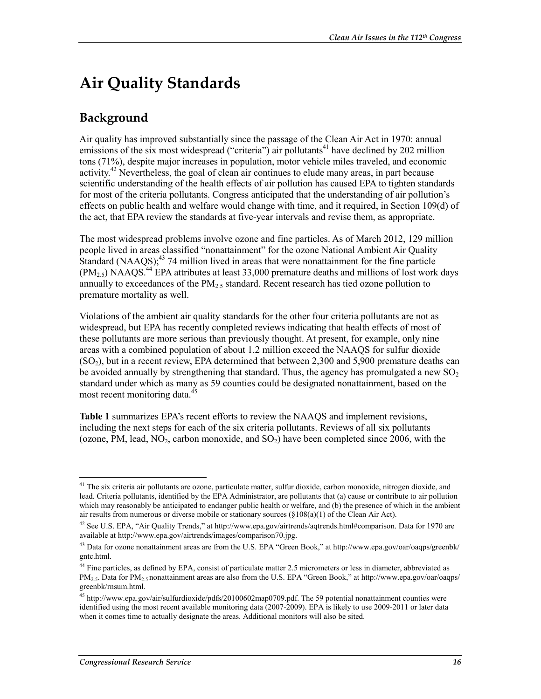## **Air Quality Standards**

## **Background**

Air quality has improved substantially since the passage of the Clean Air Act in 1970: annual emissions of the six most widespread ("criteria") air pollutants<sup>41</sup> have declined by 202 million tons (71%), despite major increases in population, motor vehicle miles traveled, and economic activity.<sup>42</sup> Nevertheless, the goal of clean air continues to elude many areas, in part because scientific understanding of the health effects of air pollution has caused EPA to tighten standards for most of the criteria pollutants. Congress anticipated that the understanding of air pollution's effects on public health and welfare would change with time, and it required, in Section 109(d) of the act, that EPA review the standards at five-year intervals and revise them, as appropriate.

The most widespread problems involve ozone and fine particles. As of March 2012, 129 million people lived in areas classified "nonattainment" for the ozone National Ambient Air Quality Standard  $(NAAQS)$ ;<sup>43</sup> 74 million lived in areas that were nonattainment for the fine particle  $(PM<sub>2.5</sub>)$  NAAQS.<sup>44</sup> EPA attributes at least 33,000 premature deaths and millions of lost work days annually to exceedances of the  $PM<sub>2.5</sub>$  standard. Recent research has tied ozone pollution to premature mortality as well.

Violations of the ambient air quality standards for the other four criteria pollutants are not as widespread, but EPA has recently completed reviews indicating that health effects of most of these pollutants are more serious than previously thought. At present, for example, only nine areas with a combined population of about 1.2 million exceed the NAAQS for sulfur dioxide  $(SO<sub>2</sub>)$ , but in a recent review, EPA determined that between 2,300 and 5,900 premature deaths can be avoided annually by strengthening that standard. Thus, the agency has promulgated a new  $SO<sub>2</sub>$ standard under which as many as 59 counties could be designated nonattainment, based on the most recent monitoring data.<sup>45</sup>

**Table 1** summarizes EPA's recent efforts to review the NAAQS and implement revisions, including the next steps for each of the six criteria pollutants. Reviews of all six pollutants (ozone, PM, lead, NO<sub>2</sub>, carbon monoxide, and  $SO<sub>2</sub>$ ) have been completed since 2006, with the

<sup>&</sup>lt;u>.</u> <sup>41</sup> The six criteria air pollutants are ozone, particulate matter, sulfur dioxide, carbon monoxide, nitrogen dioxide, and lead. Criteria pollutants, identified by the EPA Administrator, are pollutants that (a) cause or contribute to air pollution which may reasonably be anticipated to endanger public health or welfare, and (b) the presence of which in the ambient air results from numerous or diverse mobile or stationary sources (§108(a)(1) of the Clean Air Act).

<sup>&</sup>lt;sup>42</sup> See U.S. EPA, "Air Quality Trends," at http://www.epa.gov/airtrends/agtrends.html#comparison. Data for 1970 are available at http://www.epa.gov/airtrends/images/comparison70.jpg.

<sup>43</sup> Data for ozone nonattainment areas are from the U.S. EPA "Green Book," at http://www.epa.gov/oar/oaqps/greenbk/ gntc.html.

<sup>&</sup>lt;sup>44</sup> Fine particles, as defined by EPA, consist of particulate matter 2.5 micrometers or less in diameter, abbreviated as  $PM_2$ . Data for PM<sub>2.5</sub> nonattainment areas are also from the U.S. EPA "Green Book," at http://www.epa.gov/oar/oaqps/ greenbk/rnsum.html.

<sup>45</sup> http://www.epa.gov/air/sulfurdioxide/pdfs/20100602map0709.pdf. The 59 potential nonattainment counties were identified using the most recent available monitoring data (2007-2009). EPA is likely to use 2009-2011 or later data when it comes time to actually designate the areas. Additional monitors will also be sited.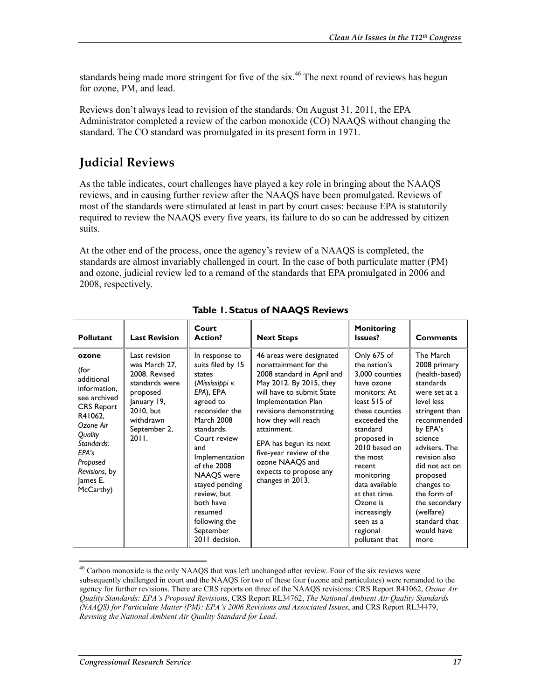standards being made more stringent for five of the six.<sup>46</sup> The next round of reviews has begun for ozone, PM, and lead.

Reviews don't always lead to revision of the standards. On August 31, 2011, the EPA Administrator completed a review of the carbon monoxide (CO) NAAQS without changing the standard. The CO standard was promulgated in its present form in 1971.

### **Judicial Reviews**

As the table indicates, court challenges have played a key role in bringing about the NAAQS reviews, and in causing further review after the NAAQS have been promulgated. Reviews of most of the standards were stimulated at least in part by court cases: because EPA is statutorily required to review the NAAQS every five years, its failure to do so can be addressed by citizen suits.

At the other end of the process, once the agency's review of a NAAQS is completed, the standards are almost invariably challenged in court. In the case of both particulate matter (PM) and ozone, judicial review led to a remand of the standards that EPA promulgated in 2006 and 2008, respectively.

| <b>Pollutant</b>                                                                                                                                                                                 | <b>Last Revision</b>                                                                                                                            | Court<br><b>Action?</b>                                                                                                                                                                                                                                                                                                        | <b>Next Steps</b>                                                                                                                                                                                                                                                                                                                                     | <b>Monitoring</b><br>Issues?                                                                                                                                                                                                                                                                                            | <b>Comments</b>                                                                                                                                                                                                                                                                                                   |
|--------------------------------------------------------------------------------------------------------------------------------------------------------------------------------------------------|-------------------------------------------------------------------------------------------------------------------------------------------------|--------------------------------------------------------------------------------------------------------------------------------------------------------------------------------------------------------------------------------------------------------------------------------------------------------------------------------|-------------------------------------------------------------------------------------------------------------------------------------------------------------------------------------------------------------------------------------------------------------------------------------------------------------------------------------------------------|-------------------------------------------------------------------------------------------------------------------------------------------------------------------------------------------------------------------------------------------------------------------------------------------------------------------------|-------------------------------------------------------------------------------------------------------------------------------------------------------------------------------------------------------------------------------------------------------------------------------------------------------------------|
| ozone<br>(for<br>additional<br>information.<br>see archived<br><b>CRS Report</b><br>R41062,<br>Ozone Air<br>Quality<br>Standards:<br>EPA's<br>Proposed<br>Revisions, by<br>James E.<br>McCarthy) | Last revision<br>was March 27,<br>2008. Revised<br>standards were<br>proposed<br>January 19,<br>2010, but<br>withdrawn<br>September 2,<br>2011. | In response to<br>suits filed by 15<br>states<br>(Mississippi v.<br>EPA), EPA<br>agreed to<br>reconsider the<br><b>March 2008</b><br>standards.<br>Court review<br>and<br>Implementation<br>of the 2008<br>NAAQS were<br>stayed pending<br>review, but<br>both have<br>resumed<br>following the<br>September<br>2011 decision. | 46 areas were designated<br>nonattainment for the<br>2008 standard in April and<br>May 2012. By 2015, they<br>will have to submit State<br>Implementation Plan<br>revisions demonstrating<br>how they will reach<br>attainment.<br>EPA has begun its next<br>five-year review of the<br>ozone NAAQS and<br>expects to propose any<br>changes in 2013. | Only 675 of<br>the nation's<br>3,000 counties<br>have ozone<br>monitors: At<br>least 515 of<br>these counties<br>exceeded the<br>standard<br>proposed in<br>2010 based on<br>the most<br>recent<br>monitoring<br>data available<br>at that time.<br>Ozone is<br>increasingly<br>seen as a<br>regional<br>pollutant that | The March<br>2008 primary<br>(health-based)<br>standards<br>were set at a<br>level less<br>stringent than<br>recommended<br>by EPA's<br>science<br>advisers. The<br>revision also<br>did not act on<br>proposed<br>changes to<br>the form of<br>the secondary<br>(welfare)<br>standard that<br>would have<br>more |

#### **Table 1. Status of NAAQS Reviews**

<sup>46</sup> Carbon monoxide is the only NAAQS that was left unchanged after review. Four of the six reviews were subsequently challenged in court and the NAAQS for two of these four (ozone and particulates) were remanded to the agency for further revisions. There are CRS reports on three of the NAAQS revisions: CRS Report R41062, *Ozone Air Quality Standards: EPA's Proposed Revisions*, CRS Report RL34762, *The National Ambient Air Quality Standards (NAAQS) for Particulate Matter (PM): EPA's 2006 Revisions and Associated Issues*, and CRS Report RL34479, *Revising the National Ambient Air Quality Standard for Lead*.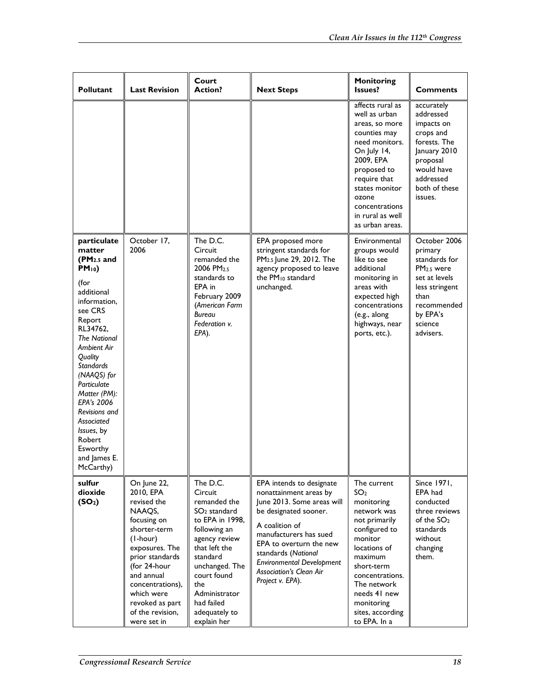| Pollutant                                                                                                                                                                                                                                                                                                                                                                       | <b>Last Revision</b>                                                                                                                                                                                                                                      | Court<br><b>Action?</b>                                                                                                                                                                                                                                 | <b>Next Steps</b>                                                                                                                                                                                                                                                                                 | <b>Monitoring</b><br>Issues?                                                                                                                                                                                                                          | <b>Comments</b>                                                                                                                                                  |
|---------------------------------------------------------------------------------------------------------------------------------------------------------------------------------------------------------------------------------------------------------------------------------------------------------------------------------------------------------------------------------|-----------------------------------------------------------------------------------------------------------------------------------------------------------------------------------------------------------------------------------------------------------|---------------------------------------------------------------------------------------------------------------------------------------------------------------------------------------------------------------------------------------------------------|---------------------------------------------------------------------------------------------------------------------------------------------------------------------------------------------------------------------------------------------------------------------------------------------------|-------------------------------------------------------------------------------------------------------------------------------------------------------------------------------------------------------------------------------------------------------|------------------------------------------------------------------------------------------------------------------------------------------------------------------|
|                                                                                                                                                                                                                                                                                                                                                                                 |                                                                                                                                                                                                                                                           |                                                                                                                                                                                                                                                         |                                                                                                                                                                                                                                                                                                   | affects rural as<br>well as urban<br>areas, so more<br>counties may<br>need monitors.<br>On July 14,<br>2009, EPA<br>proposed to<br>require that<br>states monitor<br>ozone<br>concentrations<br>in rural as well<br>as urban areas.                  | accurately<br>addressed<br>impacts on<br>crops and<br>forests. The<br>January 2010<br>proposal<br>would have<br>addressed<br>both of these<br>issues.            |
| particulate<br>matter<br>$(PM2.5$ and<br>PM <sub>10</sub><br>(for<br>additional<br>information,<br>see CRS<br>Report<br>RL34762,<br><b>The National</b><br><b>Ambient Air</b><br>Quality<br><b>Standards</b><br>(NAAQS) for<br>Particulate<br>Matter (PM):<br>EPA's 2006<br>Revisions and<br>Associated<br>Issues, by<br><b>Robert</b><br>Esworthy<br>and James E.<br>McCarthy) | October 17,<br>2006                                                                                                                                                                                                                                       | The D.C.<br>Circuit<br>remanded the<br>2006 PM <sub>2.5</sub><br>standards to<br>EPA in<br>February 2009<br>(American Farm<br>Bureau<br>Federation v.<br>EPA).                                                                                          | EPA proposed more<br>stringent standards for<br>PM <sub>2.5</sub> June 29, 2012. The<br>agency proposed to leave<br>the PM10 standard<br>unchanged.                                                                                                                                               | Environmental<br>groups would<br>like to see<br>additional<br>monitoring in<br>areas with<br>expected high<br>concentrations<br>(e.g., along<br>highways, near<br>ports, etc.).                                                                       | October 2006<br>primary<br>standards for<br>PM <sub>2.5</sub> were<br>set at levels<br>less stringent<br>than<br>recommended<br>by EPA's<br>science<br>advisers. |
| sulfur<br>dioxide<br>(SO <sub>2</sub> )                                                                                                                                                                                                                                                                                                                                         | On June 22,<br>2010, EPA<br>revised the<br>NAAQS,<br>focusing on<br>shorter-term<br>$(1-hour)$<br>exposures. The<br>prior standards<br>(for 24-hour<br>and annual<br>concentrations),<br>which were<br>revoked as part<br>of the revision,<br>were set in | The D.C.<br>Circuit<br>remanded the<br>SO <sub>2</sub> standard<br>to EPA in 1998,<br>following an<br>agency review<br>that left the<br>standard<br>unchanged. The<br>court found<br>the<br>Administrator<br>had failed<br>adequately to<br>explain her | EPA intends to designate<br>nonattainment areas by<br>June 2013. Some areas will<br>be designated sooner.<br>A coalition of<br>manufacturers has sued<br>EPA to overturn the new<br>standards (National<br><b>Environmental Development</b><br><b>Association's Clean Air</b><br>Project v. EPA). | The current<br>SO <sub>2</sub><br>monitoring<br>network was<br>not primarily<br>configured to<br>monitor<br>locations of<br>maximum<br>short-term<br>concentrations.<br>The network<br>needs 41 new<br>monitoring<br>sites, according<br>to EPA. In a | Since 1971,<br><b>EPA</b> had<br>conducted<br>three reviews<br>of the SO <sub>2</sub><br>standards<br>without<br>changing<br>them.                               |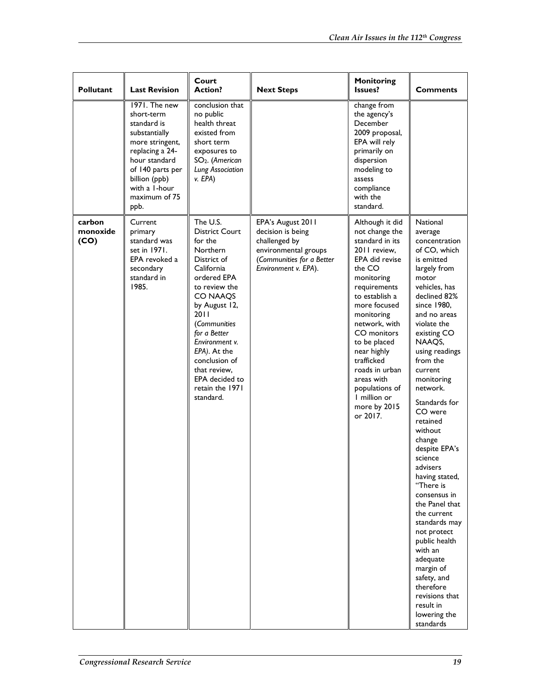| Pollutant                  | <b>Last Revision</b>                                                                                                                                                                              | Court<br><b>Action?</b>                                                                                                                                                                                                                                                                                                       | <b>Next Steps</b>                                                                                                                    | <b>Monitoring</b><br>Issues?                                                                                                                                                                                                                                                                                                                                     | <b>Comments</b>                                                                                                                                                                                                                                                                                                                                                                                                                                                                                                                                                                                                                          |
|----------------------------|---------------------------------------------------------------------------------------------------------------------------------------------------------------------------------------------------|-------------------------------------------------------------------------------------------------------------------------------------------------------------------------------------------------------------------------------------------------------------------------------------------------------------------------------|--------------------------------------------------------------------------------------------------------------------------------------|------------------------------------------------------------------------------------------------------------------------------------------------------------------------------------------------------------------------------------------------------------------------------------------------------------------------------------------------------------------|------------------------------------------------------------------------------------------------------------------------------------------------------------------------------------------------------------------------------------------------------------------------------------------------------------------------------------------------------------------------------------------------------------------------------------------------------------------------------------------------------------------------------------------------------------------------------------------------------------------------------------------|
|                            | 1971. The new<br>short-term<br>standard is<br>substantially<br>more stringent,<br>replacing a 24-<br>hour standard<br>of 140 parts per<br>billion (ppb)<br>with a 1-hour<br>maximum of 75<br>ppb. | conclusion that<br>no public<br>health threat<br>existed from<br>short term<br>exposures to<br>SO <sub>2</sub> . (American<br><b>Lung Association</b><br>v. EPA)                                                                                                                                                              |                                                                                                                                      | change from<br>the agency's<br>December<br>2009 proposal,<br>EPA will rely<br>primarily on<br>dispersion<br>modeling to<br>assess<br>compliance<br>with the<br>standard.                                                                                                                                                                                         |                                                                                                                                                                                                                                                                                                                                                                                                                                                                                                                                                                                                                                          |
| carbon<br>monoxide<br>(CO) | Current<br>primary<br>standard was<br>set in 1971.<br>EPA revoked a<br>secondary<br>standard in<br>1985.                                                                                          | The U.S.<br><b>District Court</b><br>for the<br>Northern<br>District of<br>California<br>ordered EPA<br>to review the<br>CO NAAOS<br>by August 12,<br>2011<br><i>(Communities</i><br>for a Better<br>Environment v.<br>EPA). At the<br>conclusion of<br>that review.<br><b>EPA</b> decided to<br>retain the 1971<br>standard. | EPA's August 2011<br>decision is being<br>challenged by<br>environmental groups<br>(Communities for a Better<br>Environment v. EPA). | Although it did<br>not change the<br>standard in its<br>2011 review,<br><b>EPA did revise</b><br>the CO<br>monitoring<br>requirements<br>to establish a<br>more focused<br>monitoring<br>network, with<br>CO monitors<br>to be placed<br>near highly<br>trafficked<br>roads in urban<br>areas with<br>populations of<br>I million or<br>more by 2015<br>or 2017. | National<br>average<br>concentration<br>of CO, which<br>is emitted<br>largely from<br>motor<br>vehicles, has<br>declined 82%<br>since 1980,<br>and no areas<br>violate the<br>existing CO<br>NAAQS,<br>using readings<br>from the<br>current<br>monitoring<br>network.<br>Standards for<br>CO were<br>retained<br>without<br>change<br>despite EPA's<br>science<br>advisers<br>having stated,<br>"There is<br>consensus in<br>the Panel that<br>the current<br>standards may<br>not protect<br>public health<br>with an<br>adequate<br>margin of<br>safety, and<br>therefore<br>revisions that<br>result in<br>lowering the<br>standards |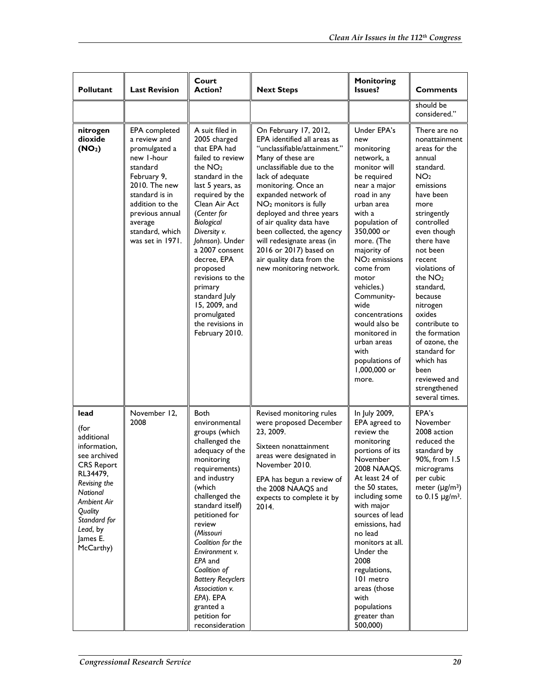| Pollutant                                                                                                                                                                                              | <b>Last Revision</b>                                                                                                                                                                                                      | Court<br><b>Action?</b>                                                                                                                                                                                                                                                                                                                                                                                  | <b>Next Steps</b>                                                                                                                                                                                                                                                                                                                                                                                                                                   | <b>Monitoring</b><br>Issues?                                                                                                                                                                                                                                                                                                                                                                       | <b>Comments</b>                                                                                                                                                                                                                                                                                                                                                                                                                            |
|--------------------------------------------------------------------------------------------------------------------------------------------------------------------------------------------------------|---------------------------------------------------------------------------------------------------------------------------------------------------------------------------------------------------------------------------|----------------------------------------------------------------------------------------------------------------------------------------------------------------------------------------------------------------------------------------------------------------------------------------------------------------------------------------------------------------------------------------------------------|-----------------------------------------------------------------------------------------------------------------------------------------------------------------------------------------------------------------------------------------------------------------------------------------------------------------------------------------------------------------------------------------------------------------------------------------------------|----------------------------------------------------------------------------------------------------------------------------------------------------------------------------------------------------------------------------------------------------------------------------------------------------------------------------------------------------------------------------------------------------|--------------------------------------------------------------------------------------------------------------------------------------------------------------------------------------------------------------------------------------------------------------------------------------------------------------------------------------------------------------------------------------------------------------------------------------------|
|                                                                                                                                                                                                        |                                                                                                                                                                                                                           |                                                                                                                                                                                                                                                                                                                                                                                                          |                                                                                                                                                                                                                                                                                                                                                                                                                                                     |                                                                                                                                                                                                                                                                                                                                                                                                    | should be<br>considered."                                                                                                                                                                                                                                                                                                                                                                                                                  |
| nitrogen<br>dioxide<br>(NO <sub>2</sub> )                                                                                                                                                              | <b>EPA</b> completed<br>a review and<br>promulgated a<br>new 1-hour<br>standard<br>February 9,<br>2010. The new<br>standard is in<br>addition to the<br>previous annual<br>average<br>standard, which<br>was set in 1971. | A suit filed in<br>2005 charged<br>that EPA had<br>failed to review<br>the NO <sub>2</sub><br>standard in the<br>last 5 years, as<br>required by the<br>Clean Air Act<br>(Center for<br>Biological<br>Diversity v.<br>Johnson). Under<br>a 2007 consent<br>decree, EPA<br>proposed<br>revisions to the<br>primary<br>standard July<br>15, 2009, and<br>promulgated<br>the revisions in<br>February 2010. | On February 17, 2012,<br>EPA identified all areas as<br>"unclassifiable/attainment."<br>Many of these are<br>unclassifiable due to the<br>lack of adequate<br>monitoring. Once an<br>expanded network of<br>NO <sub>2</sub> monitors is fully<br>deployed and three years<br>of air quality data have<br>been collected, the agency<br>will redesignate areas (in<br>2016 or 2017) based on<br>air quality data from the<br>new monitoring network. | Under EPA's<br>new<br>monitoring<br>network, a<br>monitor will<br>be required<br>near a major<br>road in any<br>urban area<br>with a<br>population of<br>350,000 or<br>more. (The<br>majority of<br>$NO2$ emissions<br>come from<br>motor<br>vehicles.)<br>Community-<br>wide<br>concentrations<br>would also be<br>monitored in<br>urban areas<br>with<br>populations of<br>1,000,000 or<br>more. | There are no<br>nonattainment<br>areas for the<br>annual<br>standard.<br>NO <sub>2</sub><br>emissions<br>have been<br>more<br>stringently<br>controlled<br>even though<br>there have<br>not been<br>recent<br>violations of<br>the NO <sub>2</sub><br>standard,<br>because<br>nitrogen<br>oxides<br>contribute to<br>the formation<br>of ozone, the<br>standard for<br>which has<br>been<br>reviewed and<br>strengthened<br>several times. |
| lead<br>(for<br>additional<br>information,<br>see archived<br><b>CRS Report</b><br>RL34479,<br>Revising the<br>National<br>Ambient Air<br>Quality<br>Standard for<br>Lead, by<br>James E.<br>McCarthy) | November 12,<br>2008                                                                                                                                                                                                      | <b>Both</b><br>environmental<br>groups (which<br>challenged the<br>adequacy of the<br>monitoring<br>requirements)<br>and industry<br>(which<br>challenged the<br>standard itself)<br>petitioned for<br>review<br>(Missouri<br>Coalition for the<br>Environment v.<br>EPA and<br>Coalition of<br><b>Battery Recyclers</b><br>Association v.<br>EPA). EPA<br>granted a<br>petition for<br>reconsideration  | Revised monitoring rules<br>were proposed December<br>23, 2009.<br>Sixteen nonattainment<br>areas were designated in<br>November 2010.<br>EPA has begun a review of<br>the 2008 NAAQS and<br>expects to complete it by<br>2014.                                                                                                                                                                                                                     | In July 2009,<br>EPA agreed to<br>review the<br>monitoring<br>portions of its<br>November<br>2008 NAAQS.<br>At least 24 of<br>the 50 states,<br>including some<br>with major<br>sources of lead<br>emissions, had<br>no lead<br>monitors at all.<br>Under the<br>2008<br>regulations,<br>101 metro<br>areas (those<br>with<br>populations<br>greater than<br>500,000)                              | EPA's<br>November<br>2008 action<br>reduced the<br>standard by<br>90%, from 1.5<br>micrograms<br>per cubic<br>meter $(\mu g/m^3)$<br>to 0.15 µg/m <sup>3</sup> .                                                                                                                                                                                                                                                                           |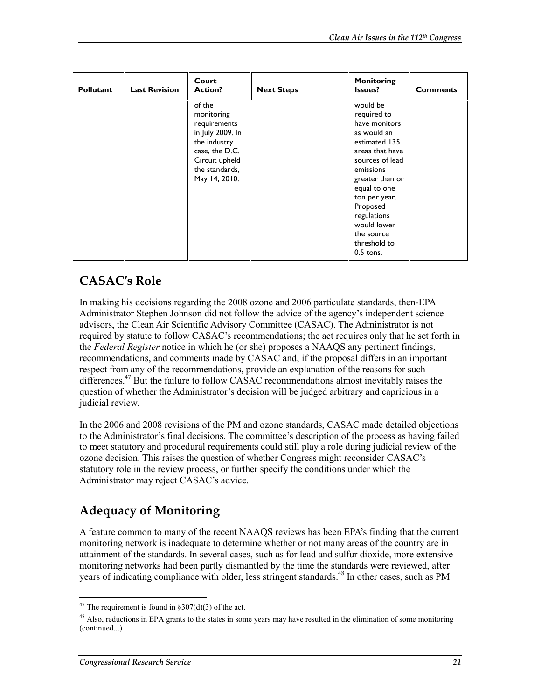| <b>Pollutant</b> | <b>Last Revision</b> | Court<br><b>Action?</b>                                                                                                                         | <b>Next Steps</b> | <b>Monitoring</b><br>Issues?                                                                                                                                                                                                                                           | <b>Comments</b> |
|------------------|----------------------|-------------------------------------------------------------------------------------------------------------------------------------------------|-------------------|------------------------------------------------------------------------------------------------------------------------------------------------------------------------------------------------------------------------------------------------------------------------|-----------------|
|                  |                      | of the<br>monitoring<br>requirements<br>in July 2009. In<br>the industry<br>case, the D.C.<br>Circuit upheld<br>the standards,<br>May 14, 2010. |                   | would be<br>required to<br>have monitors<br>as would an<br>estimated 135<br>areas that have<br>sources of lead<br>emissions<br>greater than or<br>equal to one<br>ton per year.<br>Proposed<br>regulations<br>would lower<br>the source<br>threshold to<br>$0.5$ tons. |                 |

### **CASAC's Role**

In making his decisions regarding the 2008 ozone and 2006 particulate standards, then-EPA Administrator Stephen Johnson did not follow the advice of the agency's independent science advisors, the Clean Air Scientific Advisory Committee (CASAC). The Administrator is not required by statute to follow CASAC's recommendations; the act requires only that he set forth in the *Federal Register* notice in which he (or she) proposes a NAAQS any pertinent findings, recommendations, and comments made by CASAC and, if the proposal differs in an important respect from any of the recommendations, provide an explanation of the reasons for such differences.<sup>47</sup> But the failure to follow CASAC recommendations almost inevitably raises the question of whether the Administrator's decision will be judged arbitrary and capricious in a judicial review.

In the 2006 and 2008 revisions of the PM and ozone standards, CASAC made detailed objections to the Administrator's final decisions. The committee's description of the process as having failed to meet statutory and procedural requirements could still play a role during judicial review of the ozone decision. This raises the question of whether Congress might reconsider CASAC's statutory role in the review process, or further specify the conditions under which the Administrator may reject CASAC's advice.

## **Adequacy of Monitoring**

A feature common to many of the recent NAAQS reviews has been EPA's finding that the current monitoring network is inadequate to determine whether or not many areas of the country are in attainment of the standards. In several cases, such as for lead and sulfur dioxide, more extensive monitoring networks had been partly dismantled by the time the standards were reviewed, after years of indicating compliance with older, less stringent standards.<sup>48</sup> In other cases, such as PM

<sup>1</sup> <sup>47</sup> The requirement is found in §307(d)(3) of the act.

 $^{48}$  Also, reductions in EPA grants to the states in some years may have resulted in the elimination of some monitoring (continued...)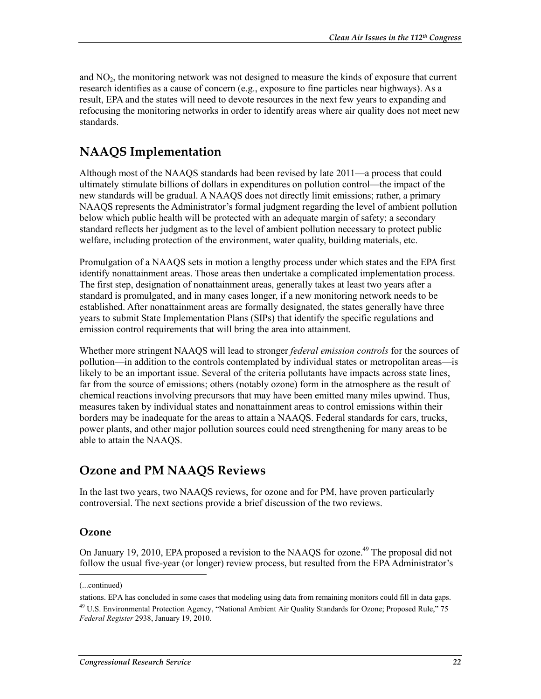and  $NO<sub>2</sub>$ , the monitoring network was not designed to measure the kinds of exposure that current research identifies as a cause of concern (e.g., exposure to fine particles near highways). As a result, EPA and the states will need to devote resources in the next few years to expanding and refocusing the monitoring networks in order to identify areas where air quality does not meet new standards.

## **NAAQS Implementation**

Although most of the NAAQS standards had been revised by late 2011—a process that could ultimately stimulate billions of dollars in expenditures on pollution control—the impact of the new standards will be gradual. A NAAQS does not directly limit emissions; rather, a primary NAAQS represents the Administrator's formal judgment regarding the level of ambient pollution below which public health will be protected with an adequate margin of safety; a secondary standard reflects her judgment as to the level of ambient pollution necessary to protect public welfare, including protection of the environment, water quality, building materials, etc.

Promulgation of a NAAQS sets in motion a lengthy process under which states and the EPA first identify nonattainment areas. Those areas then undertake a complicated implementation process. The first step, designation of nonattainment areas, generally takes at least two years after a standard is promulgated, and in many cases longer, if a new monitoring network needs to be established. After nonattainment areas are formally designated, the states generally have three years to submit State Implementation Plans (SIPs) that identify the specific regulations and emission control requirements that will bring the area into attainment.

Whether more stringent NAAQS will lead to stronger *federal emission controls* for the sources of pollution—in addition to the controls contemplated by individual states or metropolitan areas—is likely to be an important issue. Several of the criteria pollutants have impacts across state lines, far from the source of emissions; others (notably ozone) form in the atmosphere as the result of chemical reactions involving precursors that may have been emitted many miles upwind. Thus, measures taken by individual states and nonattainment areas to control emissions within their borders may be inadequate for the areas to attain a NAAQS. Federal standards for cars, trucks, power plants, and other major pollution sources could need strengthening for many areas to be able to attain the NAAQS.

## **Ozone and PM NAAQS Reviews**

In the last two years, two NAAQS reviews, for ozone and for PM, have proven particularly controversial. The next sections provide a brief discussion of the two reviews.

#### **Ozone**

On January 19, 2010, EPA proposed a revision to the NAAQS for ozone.<sup>49</sup> The proposal did not follow the usual five-year (or longer) review process, but resulted from the EPA Administrator's

<sup>(...</sup>continued)

stations. EPA has concluded in some cases that modeling using data from remaining monitors could fill in data gaps. <sup>49</sup> U.S. Environmental Protection Agency, "National Ambient Air Quality Standards for Ozone; Proposed Rule," 75 *Federal Register* 2938, January 19, 2010.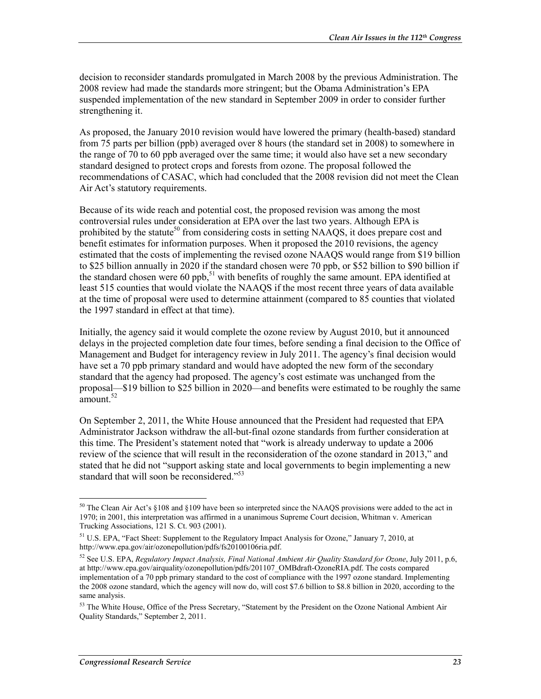decision to reconsider standards promulgated in March 2008 by the previous Administration. The 2008 review had made the standards more stringent; but the Obama Administration's EPA suspended implementation of the new standard in September 2009 in order to consider further strengthening it.

As proposed, the January 2010 revision would have lowered the primary (health-based) standard from 75 parts per billion (ppb) averaged over 8 hours (the standard set in 2008) to somewhere in the range of 70 to 60 ppb averaged over the same time; it would also have set a new secondary standard designed to protect crops and forests from ozone. The proposal followed the recommendations of CASAC, which had concluded that the 2008 revision did not meet the Clean Air Act's statutory requirements.

Because of its wide reach and potential cost, the proposed revision was among the most controversial rules under consideration at EPA over the last two years. Although EPA is prohibited by the statute<sup>50</sup> from considering costs in setting NAAQS, it does prepare cost and benefit estimates for information purposes. When it proposed the 2010 revisions, the agency estimated that the costs of implementing the revised ozone NAAQS would range from \$19 billion to \$25 billion annually in 2020 if the standard chosen were 70 ppb, or \$52 billion to \$90 billion if the standard chosen were 60 ppb,<sup>51</sup> with benefits of roughly the same amount. EPA identified at least 515 counties that would violate the NAAQS if the most recent three years of data available at the time of proposal were used to determine attainment (compared to 85 counties that violated the 1997 standard in effect at that time).

Initially, the agency said it would complete the ozone review by August 2010, but it announced delays in the projected completion date four times, before sending a final decision to the Office of Management and Budget for interagency review in July 2011. The agency's final decision would have set a 70 ppb primary standard and would have adopted the new form of the secondary standard that the agency had proposed. The agency's cost estimate was unchanged from the proposal—\$19 billion to \$25 billion in 2020—and benefits were estimated to be roughly the same  $\frac{1}{2}$ amount.<sup>52</sup>

On September 2, 2011, the White House announced that the President had requested that EPA Administrator Jackson withdraw the all-but-final ozone standards from further consideration at this time. The President's statement noted that "work is already underway to update a 2006 review of the science that will result in the reconsideration of the ozone standard in 2013," and stated that he did not "support asking state and local governments to begin implementing a new standard that will soon be reconsidered."<sup>53</sup>

<sup>&</sup>lt;sup>50</sup> The Clean Air Act's §108 and §109 have been so interpreted since the NAAQS provisions were added to the act in 1970; in 2001, this interpretation was affirmed in a unanimous Supreme Court decision, Whitman v. American Trucking Associations, 121 S. Ct. 903 (2001).

<sup>51</sup> U.S. EPA, "Fact Sheet: Supplement to the Regulatory Impact Analysis for Ozone," January 7, 2010, at http://www.epa.gov/air/ozonepollution/pdfs/fs20100106ria.pdf.

<sup>52</sup> See U.S. EPA, *Regulatory Impact Analysis, Final National Ambient Air Quality Standard for Ozone*, July 2011, p.6, at http://www.epa.gov/airquality/ozonepollution/pdfs/201107\_OMBdraft-OzoneRIA.pdf. The costs compared implementation of a 70 ppb primary standard to the cost of compliance with the 1997 ozone standard. Implementing the 2008 ozone standard, which the agency will now do, will cost \$7.6 billion to \$8.8 billion in 2020, according to the same analysis.

<sup>&</sup>lt;sup>53</sup> The White House, Office of the Press Secretary, "Statement by the President on the Ozone National Ambient Air Quality Standards," September 2, 2011.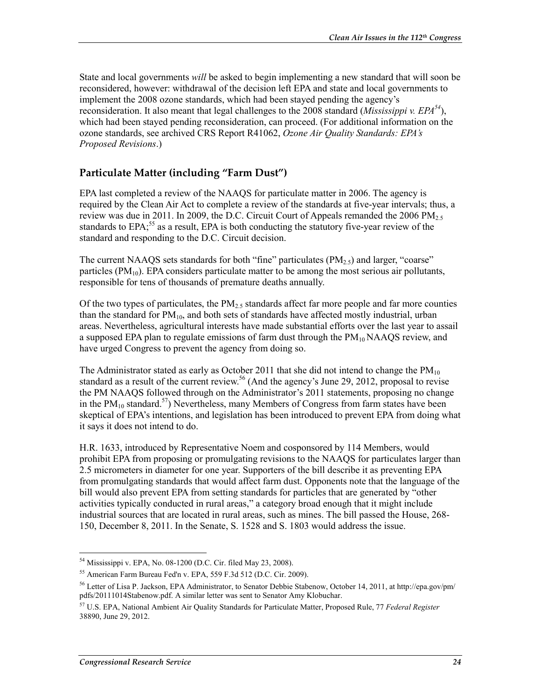State and local governments *will* be asked to begin implementing a new standard that will soon be reconsidered, however: withdrawal of the decision left EPA and state and local governments to implement the 2008 ozone standards, which had been stayed pending the agency's reconsideration. It also meant that legal challenges to the 2008 standard (*Mississippi v. EPA54*), which had been stayed pending reconsideration, can proceed. (For additional information on the ozone standards, see archived CRS Report R41062, *Ozone Air Quality Standards: EPA's Proposed Revisions*.)

#### **Particulate Matter (including "Farm Dust")**

EPA last completed a review of the NAAQS for particulate matter in 2006. The agency is required by the Clean Air Act to complete a review of the standards at five-year intervals; thus, a review was due in 2011. In 2009, the D.C. Circuit Court of Appeals remanded the 2006 PM<sub>2.5</sub> standards to  $EPA$ <sup>55</sup>, as a result, EPA is both conducting the statutory five-year review of the standard and responding to the D.C. Circuit decision.

The current NAAOS sets standards for both "fine" particulates  $(PM_{2.5})$  and larger, "coarse" particles  $(PM_{10})$ . EPA considers particulate matter to be among the most serious air pollutants, responsible for tens of thousands of premature deaths annually.

Of the two types of particulates, the  $PM_{2.5}$  standards affect far more people and far more counties than the standard for  $PM_{10}$ , and both sets of standards have affected mostly industrial, urban areas. Nevertheless, agricultural interests have made substantial efforts over the last year to assail a supposed EPA plan to regulate emissions of farm dust through the  $PM_{10}$  NAAOS review, and have urged Congress to prevent the agency from doing so.

The Administrator stated as early as October 2011 that she did not intend to change the PM<sub>10</sub> standard as a result of the current review.<sup>56</sup> (And the agency's June 29, 2012, proposal to revise the PM NAAQS followed through on the Administrator's 2011 statements, proposing no change in the  $PM_{10}$  standard.<sup>57</sup>) Nevertheless, many Members of Congress from farm states have been skeptical of EPA's intentions, and legislation has been introduced to prevent EPA from doing what it says it does not intend to do.

H.R. 1633, introduced by Representative Noem and cosponsored by 114 Members, would prohibit EPA from proposing or promulgating revisions to the NAAQS for particulates larger than 2.5 micrometers in diameter for one year. Supporters of the bill describe it as preventing EPA from promulgating standards that would affect farm dust. Opponents note that the language of the bill would also prevent EPA from setting standards for particles that are generated by "other activities typically conducted in rural areas," a category broad enough that it might include industrial sources that are located in rural areas, such as mines. The bill passed the House, 268- 150, December 8, 2011. In the Senate, S. 1528 and S. 1803 would address the issue.

<sup>54</sup> Mississippi v. EPA, No. 08-1200 (D.C. Cir. filed May 23, 2008).

 $55$  American Farm Bureau Fed'n v. EPA, 559 F.3d 512 (D.C. Cir. 2009).

<sup>56</sup> Letter of Lisa P. Jackson, EPA Administrator, to Senator Debbie Stabenow, October 14, 2011, at http://epa.gov/pm/ pdfs/20111014Stabenow.pdf. A similar letter was sent to Senator Amy Klobuchar.

<sup>57</sup> U.S. EPA, National Ambient Air Quality Standards for Particulate Matter, Proposed Rule, 77 *Federal Register* 38890, June 29, 2012.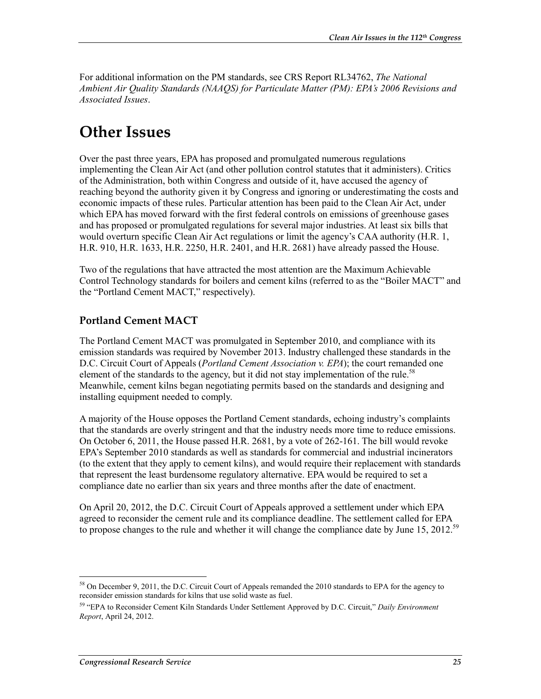For additional information on the PM standards, see CRS Report RL34762, *The National Ambient Air Quality Standards (NAAQS) for Particulate Matter (PM): EPA's 2006 Revisions and Associated Issues*.

## **Other Issues**

Over the past three years, EPA has proposed and promulgated numerous regulations implementing the Clean Air Act (and other pollution control statutes that it administers). Critics of the Administration, both within Congress and outside of it, have accused the agency of reaching beyond the authority given it by Congress and ignoring or underestimating the costs and economic impacts of these rules. Particular attention has been paid to the Clean Air Act, under which EPA has moved forward with the first federal controls on emissions of greenhouse gases and has proposed or promulgated regulations for several major industries. At least six bills that would overturn specific Clean Air Act regulations or limit the agency's CAA authority (H.R. 1, H.R. 910, H.R. 1633, H.R. 2250, H.R. 2401, and H.R. 2681) have already passed the House.

Two of the regulations that have attracted the most attention are the Maximum Achievable Control Technology standards for boilers and cement kilns (referred to as the "Boiler MACT" and the "Portland Cement MACT," respectively).

### **Portland Cement MACT**

The Portland Cement MACT was promulgated in September 2010, and compliance with its emission standards was required by November 2013. Industry challenged these standards in the D.C. Circuit Court of Appeals (*Portland Cement Association v. EPA*); the court remanded one element of the standards to the agency, but it did not stay implementation of the rule.<sup>58</sup> Meanwhile, cement kilns began negotiating permits based on the standards and designing and installing equipment needed to comply.

A majority of the House opposes the Portland Cement standards, echoing industry's complaints that the standards are overly stringent and that the industry needs more time to reduce emissions. On October 6, 2011, the House passed H.R. 2681, by a vote of 262-161. The bill would revoke EPA's September 2010 standards as well as standards for commercial and industrial incinerators (to the extent that they apply to cement kilns), and would require their replacement with standards that represent the least burdensome regulatory alternative. EPA would be required to set a compliance date no earlier than six years and three months after the date of enactment.

On April 20, 2012, the D.C. Circuit Court of Appeals approved a settlement under which EPA agreed to reconsider the cement rule and its compliance deadline. The settlement called for EPA to propose changes to the rule and whether it will change the compliance date by June 15, 2012.<sup>59</sup>

<sup>&</sup>lt;sup>58</sup> On December 9, 2011, the D.C. Circuit Court of Appeals remanded the 2010 standards to EPA for the agency to reconsider emission standards for kilns that use solid waste as fuel.

<sup>59 &</sup>quot;EPA to Reconsider Cement Kiln Standards Under Settlement Approved by D.C. Circuit," *Daily Environment Report*, April 24, 2012.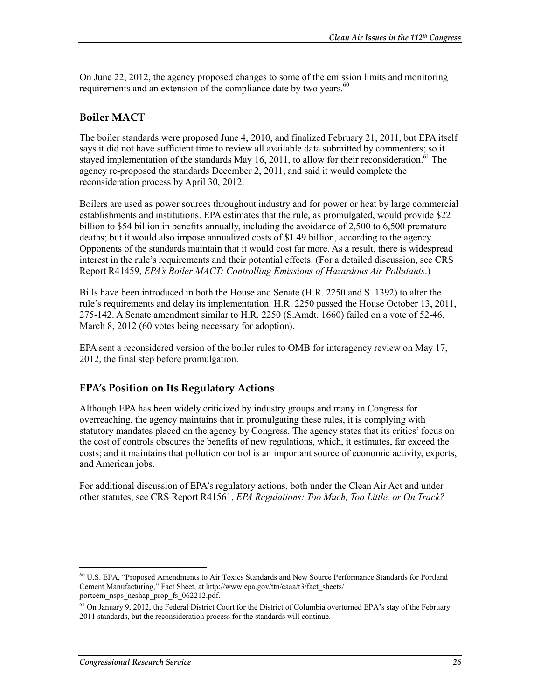On June 22, 2012, the agency proposed changes to some of the emission limits and monitoring requirements and an extension of the compliance date by two years. $60$ 

### **Boiler MACT**

The boiler standards were proposed June 4, 2010, and finalized February 21, 2011, but EPA itself says it did not have sufficient time to review all available data submitted by commenters; so it stayed implementation of the standards May 16, 2011, to allow for their reconsideration.<sup>61</sup> The agency re-proposed the standards December 2, 2011, and said it would complete the reconsideration process by April 30, 2012.

Boilers are used as power sources throughout industry and for power or heat by large commercial establishments and institutions. EPA estimates that the rule, as promulgated, would provide \$22 billion to \$54 billion in benefits annually, including the avoidance of 2,500 to 6,500 premature deaths; but it would also impose annualized costs of \$1.49 billion, according to the agency. Opponents of the standards maintain that it would cost far more. As a result, there is widespread interest in the rule's requirements and their potential effects. (For a detailed discussion, see CRS Report R41459, *EPA's Boiler MACT: Controlling Emissions of Hazardous Air Pollutants*.)

Bills have been introduced in both the House and Senate (H.R. 2250 and S. 1392) to alter the rule's requirements and delay its implementation. H.R. 2250 passed the House October 13, 2011, 275-142. A Senate amendment similar to H.R. 2250 (S.Amdt. 1660) failed on a vote of 52-46, March 8, 2012 (60 votes being necessary for adoption).

EPA sent a reconsidered version of the boiler rules to OMB for interagency review on May 17, 2012, the final step before promulgation.

#### **EPA's Position on Its Regulatory Actions**

Although EPA has been widely criticized by industry groups and many in Congress for overreaching, the agency maintains that in promulgating these rules, it is complying with statutory mandates placed on the agency by Congress. The agency states that its critics' focus on the cost of controls obscures the benefits of new regulations, which, it estimates, far exceed the costs; and it maintains that pollution control is an important source of economic activity, exports, and American jobs.

For additional discussion of EPA's regulatory actions, both under the Clean Air Act and under other statutes, see CRS Report R41561, *EPA Regulations: Too Much, Too Little, or On Track?*

<sup>60</sup> U.S. EPA, "Proposed Amendments to Air Toxics Standards and New Source Performance Standards for Portland Cement Manufacturing," Fact Sheet, at http://www.epa.gov/ttn/caaa/t3/fact\_sheets/ portcem\_nsps\_neshap\_prop\_fs\_062212.pdf.

 $<sup>61</sup>$  On January 9, 2012, the Federal District Court for the District of Columbia overturned EPA's stay of the February</sup> 2011 standards, but the reconsideration process for the standards will continue.